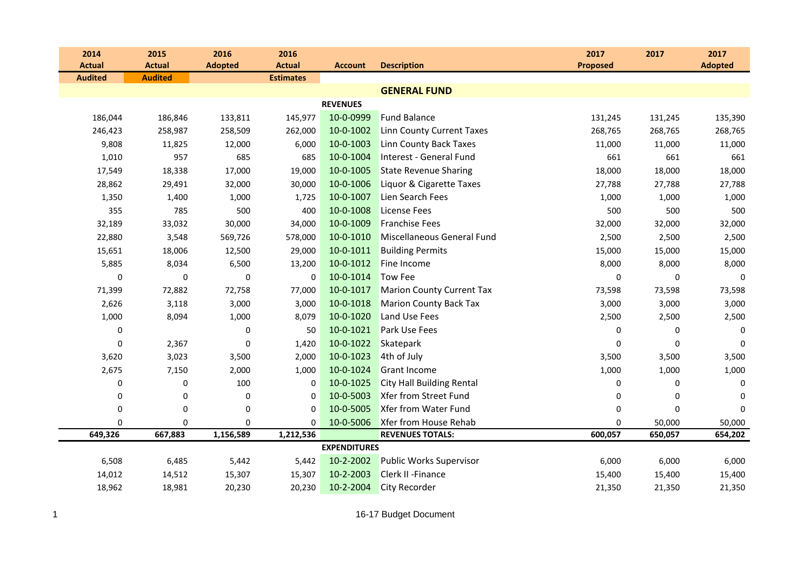| 2014           | 2015           | 2016           | 2016             |                     |                                  | 2017            | 2017        | 2017           |
|----------------|----------------|----------------|------------------|---------------------|----------------------------------|-----------------|-------------|----------------|
| <b>Actual</b>  | <b>Actual</b>  | <b>Adopted</b> | <b>Actual</b>    | <b>Account</b>      | <b>Description</b>               | <b>Proposed</b> |             | <b>Adopted</b> |
| <b>Audited</b> | <b>Audited</b> |                | <b>Estimates</b> |                     |                                  |                 |             |                |
|                |                |                |                  |                     | <b>GENERAL FUND</b>              |                 |             |                |
|                |                |                |                  | <b>REVENUES</b>     |                                  |                 |             |                |
| 186,044        | 186,846        | 133,811        | 145,977          | 10-0-0999           | <b>Fund Balance</b>              | 131,245         | 131,245     | 135,390        |
| 246,423        | 258,987        | 258,509        | 262,000          | 10-0-1002           | <b>Linn County Current Taxes</b> | 268,765         | 268,765     | 268,765        |
| 9,808          | 11,825         | 12,000         | 6,000            | 10-0-1003           | Linn County Back Taxes           | 11,000          | 11,000      | 11,000         |
| 1,010          | 957            | 685            | 685              | 10-0-1004           | Interest - General Fund          | 661             | 661         | 661            |
| 17,549         | 18,338         | 17,000         | 19,000           | 10-0-1005           | <b>State Revenue Sharing</b>     | 18,000          | 18,000      | 18,000         |
| 28,862         | 29,491         | 32,000         | 30,000           | 10-0-1006           | Liquor & Cigarette Taxes         | 27,788          | 27,788      | 27,788         |
| 1,350          | 1,400          | 1,000          | 1,725            | 10-0-1007           | Lien Search Fees                 | 1,000           | 1,000       | 1,000          |
| 355            | 785            | 500            | 400              | 10-0-1008           | <b>License Fees</b>              | 500             | 500         | 500            |
| 32,189         | 33,032         | 30,000         | 34,000           | 10-0-1009           | <b>Franchise Fees</b>            | 32,000          | 32,000      | 32,000         |
| 22,880         | 3,548          | 569,726        | 578,000          | 10-0-1010           | Miscellaneous General Fund       | 2,500           | 2,500       | 2,500          |
| 15,651         | 18,006         | 12,500         | 29,000           | 10-0-1011           | <b>Building Permits</b>          | 15,000          | 15,000      | 15,000         |
| 5,885          | 8,034          | 6,500          | 13,200           | 10-0-1012           | Fine Income                      | 8,000           | 8,000       | 8,000          |
| $\Omega$       | 0              | $\mathbf 0$    | $\mathbf 0$      | 10-0-1014           | <b>Tow Fee</b>                   | $\mathbf 0$     | $\mathbf 0$ | $\mathbf 0$    |
| 71,399         | 72,882         | 72,758         | 77,000           | 10-0-1017           | <b>Marion County Current Tax</b> | 73,598          | 73,598      | 73,598         |
| 2,626          | 3,118          | 3,000          | 3,000            | 10-0-1018           | <b>Marion County Back Tax</b>    | 3,000           | 3,000       | 3,000          |
| 1,000          | 8,094          | 1,000          | 8,079            | 10-0-1020           | <b>Land Use Fees</b>             | 2,500           | 2,500       | 2,500          |
| 0              |                | $\mathbf 0$    | 50               | 10-0-1021           | <b>Park Use Fees</b>             | 0               | 0           | 0              |
| 0              | 2,367          | $\mathbf 0$    | 1,420            | 10-0-1022           | Skatepark                        | $\mathbf 0$     | $\mathbf 0$ | 0              |
| 3,620          | 3,023          | 3,500          | 2,000            | 10-0-1023           | 4th of July                      | 3,500           | 3,500       | 3,500          |
| 2,675          | 7,150          | 2,000          | 1,000            | 10-0-1024           | <b>Grant Income</b>              | 1,000           | 1,000       | 1,000          |
| 0              | $\pmb{0}$      | 100            | 0                | 10-0-1025           | <b>City Hall Building Rental</b> | 0               | 0           | 0              |
| 0              | 0              | $\mathbf 0$    | 0                | 10-0-5003           | <b>Xfer from Street Fund</b>     | $\mathbf 0$     | 0           | $\Omega$       |
| $\mathbf 0$    | $\pmb{0}$      | $\mathbf 0$    | $\Omega$         | 10-0-5005           | Xfer from Water Fund             | $\mathbf 0$     | $\Omega$    | $\Omega$       |
| 0              | 0              | $\pmb{0}$      | $\Omega$         | 10-0-5006           | Xfer from House Rehab            | $\pmb{0}$       | 50,000      | 50,000         |
| 649,326        | 667,883        | 1,156,589      | 1,212,536        |                     | <b>REVENUES TOTALS:</b>          | 600,057         | 650,057     | 654,202        |
|                |                |                |                  | <b>EXPENDITURES</b> |                                  |                 |             |                |
| 6,508          | 6,485          | 5,442          | 5,442            | 10-2-2002           | <b>Public Works Supervisor</b>   | 6,000           | 6,000       | 6,000          |
| 14,012         | 14,512         | 15,307         | 15,307           | 10-2-2003           | Clerk II - Finance               | 15,400          | 15,400      | 15,400         |
| 18,962         | 18,981         | 20,230         | 20,230           | 10-2-2004           | <b>City Recorder</b>             | 21,350          | 21,350      | 21,350         |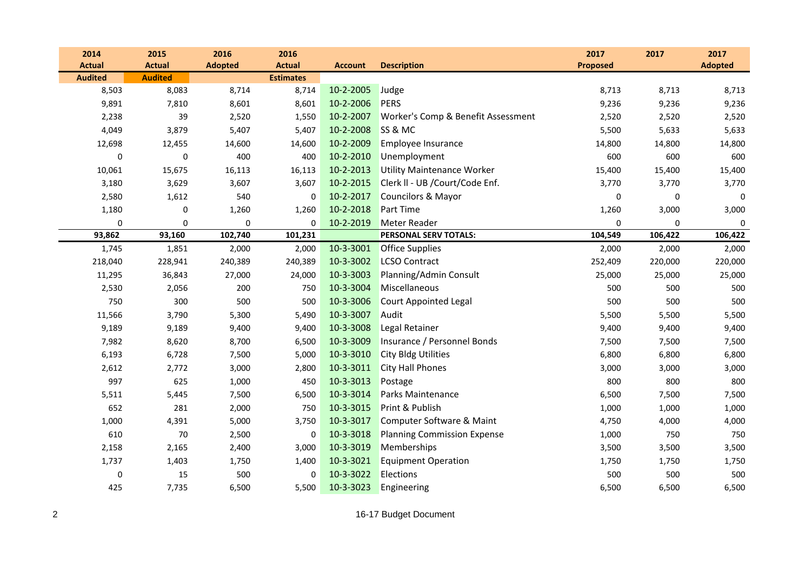| 2014           | 2015           | 2016           | 2016             |                |                                    | 2017            | 2017    | 2017           |
|----------------|----------------|----------------|------------------|----------------|------------------------------------|-----------------|---------|----------------|
| <b>Actual</b>  | <b>Actual</b>  | <b>Adopted</b> | <b>Actual</b>    | <b>Account</b> | <b>Description</b>                 | <b>Proposed</b> |         | <b>Adopted</b> |
| <b>Audited</b> | <b>Audited</b> |                | <b>Estimates</b> |                |                                    |                 |         |                |
| 8,503          | 8,083          | 8,714          | 8,714            | 10-2-2005      | Judge                              | 8,713           | 8,713   | 8,713          |
| 9,891          | 7,810          | 8,601          | 8,601            | 10-2-2006      | PERS                               | 9,236           | 9,236   | 9,236          |
| 2,238          | 39             | 2,520          | 1,550            | 10-2-2007      | Worker's Comp & Benefit Assessment | 2,520           | 2,520   | 2,520          |
| 4,049          | 3,879          | 5,407          | 5,407            | 10-2-2008      | SS & MC                            | 5,500           | 5,633   | 5,633          |
| 12,698         | 12,455         | 14,600         | 14,600           | 10-2-2009      | Employee Insurance                 | 14,800          | 14,800  | 14,800         |
| 0              | $\pmb{0}$      | 400            | 400              | 10-2-2010      | Unemployment                       | 600             | 600     | 600            |
| 10,061         | 15,675         | 16,113         | 16,113           | 10-2-2013      | <b>Utility Maintenance Worker</b>  | 15,400          | 15,400  | 15,400         |
| 3,180          | 3,629          | 3,607          | 3,607            | 10-2-2015      | Clerk II - UB /Court/Code Enf.     | 3,770           | 3,770   | 3,770          |
| 2,580          | 1,612          | 540            | 0                | 10-2-2017      | Councilors & Mayor                 | $\pmb{0}$       | 0       | $\mathbf 0$    |
| 1,180          | 0              | 1,260          | 1,260            | 10-2-2018      | <b>Part Time</b>                   | 1,260           | 3,000   | 3,000          |
| 0              | 0              | $\mathbf 0$    | $\Omega$         | 10-2-2019      | Meter Reader                       | $\mathbf 0$     | 0       | $\mathbf 0$    |
| 93,862         | 93,160         | 102,740        | 101,231          |                | PERSONAL SERV TOTALS:              | 104,549         | 106,422 | 106,422        |
| 1,745          | 1,851          | 2,000          | 2,000            | 10-3-3001      | <b>Office Supplies</b>             | 2,000           | 2,000   | 2,000          |
| 218,040        | 228,941        | 240,389        | 240,389          | 10-3-3002      | <b>LCSO Contract</b>               | 252,409         | 220,000 | 220,000        |
| 11,295         | 36,843         | 27,000         | 24,000           | 10-3-3003      | Planning/Admin Consult             | 25,000          | 25,000  | 25,000         |
| 2,530          | 2,056          | 200            | 750              | 10-3-3004      | Miscellaneous                      | 500             | 500     | 500            |
| 750            | 300            | 500            | 500              | 10-3-3006      | <b>Court Appointed Legal</b>       | 500             | 500     | 500            |
| 11,566         | 3,790          | 5,300          | 5,490            | 10-3-3007      | Audit                              | 5,500           | 5,500   | 5,500          |
| 9,189          | 9,189          | 9,400          | 9,400            | 10-3-3008      | Legal Retainer                     | 9,400           | 9,400   | 9,400          |
| 7,982          | 8,620          | 8,700          | 6,500            | 10-3-3009      | Insurance / Personnel Bonds        | 7,500           | 7,500   | 7,500          |
| 6,193          | 6,728          | 7,500          | 5,000            | 10-3-3010      | <b>City Bldg Utilities</b>         | 6,800           | 6,800   | 6,800          |
| 2,612          | 2,772          | 3,000          | 2,800            | 10-3-3011      | <b>City Hall Phones</b>            | 3,000           | 3,000   | 3,000          |
| 997            | 625            | 1,000          | 450              | 10-3-3013      | Postage                            | 800             | 800     | 800            |
| 5,511          | 5,445          | 7,500          | 6,500            | 10-3-3014      | Parks Maintenance                  | 6,500           | 7,500   | 7,500          |
| 652            | 281            | 2,000          | 750              | 10-3-3015      | Print & Publish                    | 1,000           | 1,000   | 1,000          |
| 1,000          | 4,391          | 5,000          | 3,750            | 10-3-3017      | Computer Software & Maint          | 4,750           | 4,000   | 4,000          |
| 610            | $70\,$         | 2,500          | 0                | 10-3-3018      | <b>Planning Commission Expense</b> | 1,000           | 750     | 750            |
| 2,158          | 2,165          | 2,400          | 3,000            | 10-3-3019      | Memberships                        | 3,500           | 3,500   | 3,500          |
| 1,737          | 1,403          | 1,750          | 1,400            | 10-3-3021      | <b>Equipment Operation</b>         | 1,750           | 1,750   | 1,750          |
| 0              | 15             | 500            | $\mathbf 0$      | 10-3-3022      | Elections                          | 500             | 500     | 500            |
| 425            | 7,735          | 6,500          | 5,500            | 10-3-3023      | Engineering                        | 6,500           | 6,500   | 6,500          |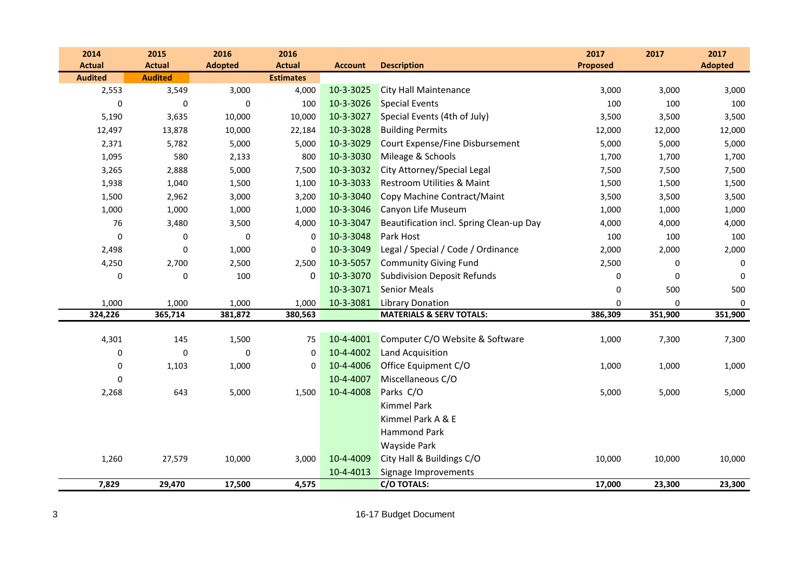| 2014           | 2015           | 2016           | 2016             |                |                                          | 2017            | 2017        | 2017           |
|----------------|----------------|----------------|------------------|----------------|------------------------------------------|-----------------|-------------|----------------|
| <b>Actual</b>  | <b>Actual</b>  | <b>Adopted</b> | <b>Actual</b>    | <b>Account</b> | <b>Description</b>                       | <b>Proposed</b> |             | <b>Adopted</b> |
| <b>Audited</b> | <b>Audited</b> |                | <b>Estimates</b> |                |                                          |                 |             |                |
| 2,553          | 3,549          | 3,000          | 4,000            | 10-3-3025      | <b>City Hall Maintenance</b>             | 3,000           | 3,000       | 3,000          |
| $\mathbf 0$    | 0              | $\Omega$       | 100              | 10-3-3026      | <b>Special Events</b>                    | 100             | 100         | 100            |
| 5,190          | 3,635          | 10,000         | 10,000           | 10-3-3027      | Special Events (4th of July)             | 3,500           | 3,500       | 3,500          |
| 12,497         | 13,878         | 10,000         | 22,184           | 10-3-3028      | <b>Building Permits</b>                  | 12,000          | 12,000      | 12,000         |
| 2,371          | 5,782          | 5,000          | 5,000            | 10-3-3029      | Court Expense/Fine Disbursement          | 5,000           | 5,000       | 5,000          |
| 1,095          | 580            | 2,133          | 800              | 10-3-3030      | Mileage & Schools                        | 1,700           | 1,700       | 1,700          |
| 3,265          | 2,888          | 5,000          | 7,500            | 10-3-3032      | City Attorney/Special Legal              | 7,500           | 7,500       | 7,500          |
| 1,938          | 1,040          | 1,500          | 1,100            | 10-3-3033      | Restroom Utilities & Maint               | 1,500           | 1,500       | 1,500          |
| 1,500          | 2,962          | 3,000          | 3,200            | 10-3-3040      | Copy Machine Contract/Maint              | 3,500           | 3,500       | 3,500          |
| 1,000          | 1,000          | 1,000          | 1,000            | 10-3-3046      | Canyon Life Museum                       | 1,000           | 1,000       | 1,000          |
| 76             | 3,480          | 3,500          | 4,000            | 10-3-3047      | Beautification incl. Spring Clean-up Day | 4,000           | 4,000       | 4,000          |
| 0              | 0              | 0              | 0                | 10-3-3048      | Park Host                                | 100             | 100         | 100            |
| 2,498          | $\pmb{0}$      | 1,000          | 0                | 10-3-3049      | Legal / Special / Code / Ordinance       | 2,000           | 2,000       | 2,000          |
| 4,250          | 2,700          | 2,500          | 2,500            | 10-3-5057      | <b>Community Giving Fund</b>             | 2,500           | 0           | $\mathbf 0$    |
| 0              | 0              | 100            | 0                | 10-3-3070      | <b>Subdivision Deposit Refunds</b>       | $\mathbf 0$     | $\mathbf 0$ | $\mathbf 0$    |
|                |                |                |                  | 10-3-3071      | <b>Senior Meals</b>                      | $\mathbf 0$     | 500         | 500            |
| 1,000          | 1,000          | 1,000          | 1,000            | 10-3-3081      | <b>Library Donation</b>                  | $\mathbf 0$     | 0           | 0              |
| 324,226        | 365,714        | 381,872        | 380,563          |                | <b>MATERIALS &amp; SERV TOTALS:</b>      | 386,309         | 351,900     | 351,900        |
|                |                |                |                  |                |                                          |                 |             |                |
| 4,301          | 145            | 1,500          | 75               | 10-4-4001      | Computer C/O Website & Software          | 1,000           | 7,300       | 7,300          |
| $\mathbf 0$    | 0              | $\Omega$       | $\Omega$         | 10-4-4002      | Land Acquisition                         |                 |             |                |
| 0              | 1,103          | 1,000          | $\Omega$         | 10-4-4006      | Office Equipment C/O                     | 1,000           | 1,000       | 1,000          |
| $\mathbf 0$    |                |                |                  | 10-4-4007      | Miscellaneous C/O                        |                 |             |                |
| 2,268          | 643            | 5,000          | 1,500            | 10-4-4008      | Parks C/O                                | 5,000           | 5,000       | 5,000          |
|                |                |                |                  |                | <b>Kimmel Park</b>                       |                 |             |                |
|                |                |                |                  |                | Kimmel Park A & E                        |                 |             |                |
|                |                |                |                  |                | <b>Hammond Park</b>                      |                 |             |                |
|                |                |                |                  |                | Wayside Park                             |                 |             |                |
| 1,260          | 27,579         | 10,000         | 3,000            | 10-4-4009      | City Hall & Buildings C/O                | 10,000          | 10,000      | 10,000         |
|                |                |                |                  | 10-4-4013      | Signage Improvements                     |                 |             |                |
| 7,829          | 29,470         | 17,500         | 4,575            |                | <b>C/O TOTALS:</b>                       | 17,000          | 23,300      | 23,300         |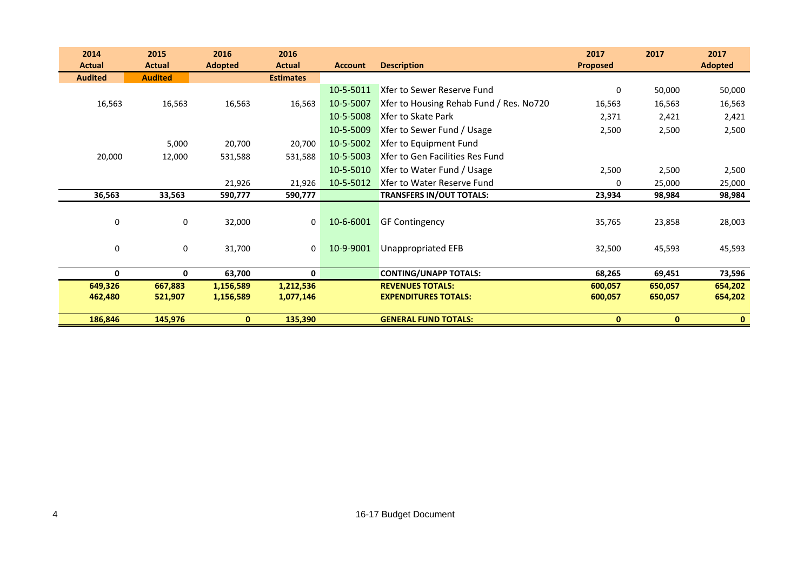| 2014           | 2015           | 2016           | 2016             |                |                                         | 2017            | 2017         | 2017           |
|----------------|----------------|----------------|------------------|----------------|-----------------------------------------|-----------------|--------------|----------------|
| <b>Actual</b>  | <b>Actual</b>  | <b>Adopted</b> | <b>Actual</b>    | <b>Account</b> | <b>Description</b>                      | <b>Proposed</b> |              | <b>Adopted</b> |
| <b>Audited</b> | <b>Audited</b> |                | <b>Estimates</b> |                |                                         |                 |              |                |
|                |                |                |                  | 10-5-5011      | Xfer to Sewer Reserve Fund              | 0               | 50,000       | 50,000         |
| 16,563         | 16,563         | 16,563         | 16,563           | 10-5-5007      | Xfer to Housing Rehab Fund / Res. No720 | 16,563          | 16,563       | 16,563         |
|                |                |                |                  | 10-5-5008      | Xfer to Skate Park                      | 2,371           | 2,421        | 2,421          |
|                |                |                |                  | 10-5-5009      | Xfer to Sewer Fund / Usage              | 2,500           | 2,500        | 2,500          |
|                | 5,000          | 20,700         | 20,700           | 10-5-5002      | Xfer to Equipment Fund                  |                 |              |                |
| 20,000         | 12,000         | 531,588        | 531,588          | 10-5-5003      | Xfer to Gen Facilities Res Fund         |                 |              |                |
|                |                |                |                  | 10-5-5010      | Xfer to Water Fund / Usage              | 2,500           | 2,500        | 2,500          |
|                |                | 21,926         | 21,926           | 10-5-5012      | Xfer to Water Reserve Fund              | $\Omega$        | 25,000       | 25,000         |
| 36,563         | 33,563         | 590,777        | 590,777          |                | <b>TRANSFERS IN/OUT TOTALS:</b>         | 23,934          | 98,984       | 98,984         |
|                |                |                |                  |                |                                         |                 |              |                |
| $\pmb{0}$      | 0              | 32,000         | 0                | 10-6-6001      | <b>GF Contingency</b>                   | 35,765          | 23,858       | 28,003         |
|                |                |                |                  |                |                                         |                 |              |                |
| $\pmb{0}$      | 0              | 31,700         | $\mathbf{0}$     | 10-9-9001      | Unappropriated EFB                      | 32,500          | 45,593       | 45,593         |
|                |                |                |                  |                |                                         |                 |              |                |
| 0              | 0              | 63,700         | $\mathbf 0$      |                | <b>CONTING/UNAPP TOTALS:</b>            | 68,265          | 69,451       | 73,596         |
| 649,326        | 667,883        | 1,156,589      | 1,212,536        |                | <b>REVENUES TOTALS:</b>                 | 600,057         | 650,057      | 654,202        |
| 462,480        | 521,907        | 1,156,589      | 1,077,146        |                | <b>EXPENDITURES TOTALS:</b>             | 600,057         | 650,057      | 654,202        |
|                |                |                |                  |                |                                         |                 |              |                |
| 186,846        | 145,976        | $\mathbf{0}$   | 135,390          |                | <b>GENERAL FUND TOTALS:</b>             | $\mathbf{0}$    | $\mathbf{0}$ | $\mathbf{0}$   |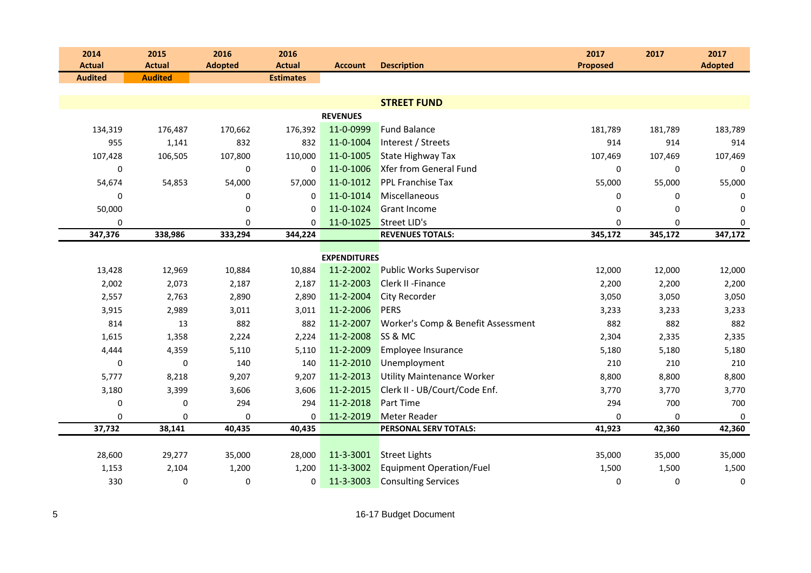| 2014                            | 2015           | 2016           | 2016             |                     |                                    | 2017            | 2017    | 2017           |
|---------------------------------|----------------|----------------|------------------|---------------------|------------------------------------|-----------------|---------|----------------|
| <b>Actual</b><br><b>Audited</b> | <b>Actual</b>  | <b>Adopted</b> | <b>Actual</b>    | <b>Account</b>      | <b>Description</b>                 | <b>Proposed</b> |         | <b>Adopted</b> |
|                                 | <b>Audited</b> |                | <b>Estimates</b> |                     |                                    |                 |         |                |
|                                 |                |                |                  |                     | <b>STREET FUND</b>                 |                 |         |                |
|                                 |                |                |                  | <b>REVENUES</b>     |                                    |                 |         |                |
| 134,319                         | 176,487        | 170,662        | 176,392          | 11-0-0999           | <b>Fund Balance</b>                | 181,789         | 181,789 | 183,789        |
| 955                             | 1,141          | 832            | 832              | 11-0-1004           | Interest / Streets                 | 914             | 914     | 914            |
| 107,428                         | 106,505        | 107,800        | 110,000          | 11-0-1005           | <b>State Highway Tax</b>           | 107,469         | 107,469 | 107,469        |
| 0                               |                | 0              | $\mathbf 0$      | 11-0-1006           | Xfer from General Fund             | 0               | 0       | $\mathbf 0$    |
| 54,674                          | 54,853         | 54,000         | 57,000           | 11-0-1012           | <b>PPL Franchise Tax</b>           | 55,000          | 55,000  | 55,000         |
| 0                               |                | 0              | $\Omega$         | 11-0-1014           | Miscellaneous                      | 0               | 0       | 0              |
| 50,000                          |                | 0              | $\Omega$         | 11-0-1024           | <b>Grant Income</b>                | 0               | 0       | $\mathbf 0$    |
| 0                               |                | 0              | $\Omega$         | 11-0-1025           | <b>Street LID's</b>                | $\mathbf 0$     | 0       | $\mathbf 0$    |
| 347,376                         | 338,986        | 333,294        | 344,224          |                     | <b>REVENUES TOTALS:</b>            | 345,172         | 345,172 | 347,172        |
|                                 |                |                |                  | <b>EXPENDITURES</b> |                                    |                 |         |                |
| 13,428                          |                | 10,884         | 10,884           | 11-2-2002           | <b>Public Works Supervisor</b>     | 12,000          | 12,000  |                |
|                                 | 12,969         |                |                  | 11-2-2003           | <b>Clerk II - Finance</b>          |                 |         | 12,000         |
| 2,002                           | 2,073          | 2,187          | 2,187            |                     |                                    | 2,200           | 2,200   | 2,200          |
| 2,557                           | 2,763          | 2,890          | 2,890            | 11-2-2004           | City Recorder                      | 3,050           | 3,050   | 3,050          |
| 3,915                           | 2,989          | 3,011          | 3,011            | 11-2-2006           | <b>PERS</b>                        | 3,233           | 3,233   | 3,233          |
| 814                             | 13             | 882            | 882              | 11-2-2007           | Worker's Comp & Benefit Assessment | 882             | 882     | 882            |
| 1,615                           | 1,358          | 2,224          | 2,224            | 11-2-2008           | SS & MC                            | 2,304           | 2,335   | 2,335          |
| 4,444                           | 4,359          | 5,110          | 5,110            | 11-2-2009           | Employee Insurance                 | 5,180           | 5,180   | 5,180          |
| 0                               | 0              | 140            | 140              | 11-2-2010           | Unemployment                       | 210             | 210     | 210            |
| 5,777                           | 8,218          | 9,207          | 9,207            | 11-2-2013           | <b>Utility Maintenance Worker</b>  | 8,800           | 8,800   | 8,800          |
| 3,180                           | 3,399          | 3,606          | 3,606            | 11-2-2015           | Clerk II - UB/Court/Code Enf.      | 3,770           | 3,770   | 3,770          |
| 0                               | 0              | 294            | 294              | 11-2-2018           | <b>Part Time</b>                   | 294             | 700     | 700            |
| 0                               | 0              | 0              | 0                | 11-2-2019           | <b>Meter Reader</b>                | 0               | 0       | 0              |
| 37,732                          | 38,141         | 40,435         | 40,435           |                     | PERSONAL SERV TOTALS:              | 41,923          | 42,360  | 42,360         |
|                                 |                |                |                  |                     |                                    |                 |         |                |
| 28,600                          | 29,277         | 35,000         | 28,000           | 11-3-3001           | <b>Street Lights</b>               | 35,000          | 35,000  | 35,000         |
| 1,153                           | 2,104          | 1,200          | 1,200            | 11-3-3002           | <b>Equipment Operation/Fuel</b>    | 1,500           | 1,500   | 1,500          |
| 330                             | 0              | 0              | 0                | 11-3-3003           | <b>Consulting Services</b>         | 0               | 0       | 0              |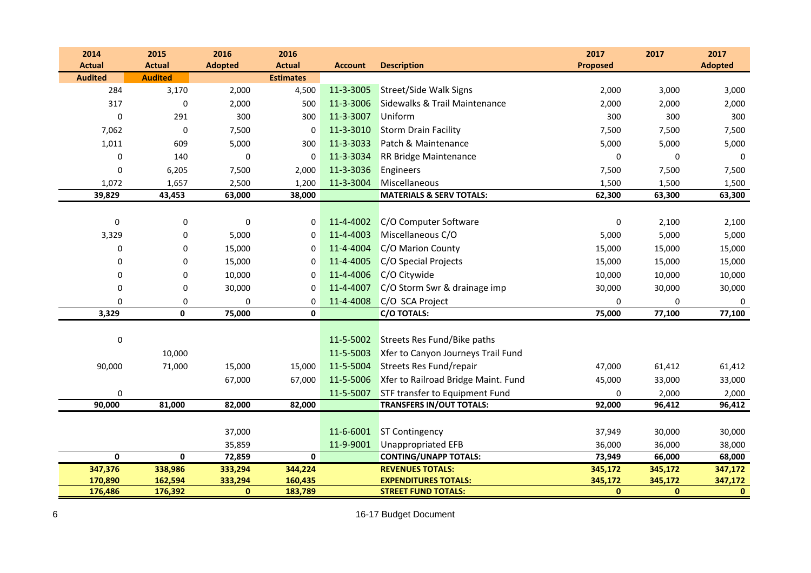| 2014               | 2015               | 2016                   | 2016               |                |                                                           | 2017                    | 2017                    | 2017                    |
|--------------------|--------------------|------------------------|--------------------|----------------|-----------------------------------------------------------|-------------------------|-------------------------|-------------------------|
| <b>Actual</b>      | <b>Actual</b>      | <b>Adopted</b>         | <b>Actual</b>      | <b>Account</b> | <b>Description</b>                                        | <b>Proposed</b>         |                         | <b>Adopted</b>          |
| <b>Audited</b>     | <b>Audited</b>     |                        | <b>Estimates</b>   |                |                                                           |                         |                         |                         |
| 284                | 3,170              | 2,000                  | 4,500              | 11-3-3005      | <b>Street/Side Walk Signs</b>                             | 2,000                   | 3,000                   | 3,000                   |
| 317                | 0                  | 2,000                  | 500                | 11-3-3006      | Sidewalks & Trail Maintenance                             | 2,000                   | 2,000                   | 2,000                   |
| $\Omega$           | 291                | 300                    | 300                | 11-3-3007      | Uniform                                                   | 300                     | 300                     | 300                     |
| 7,062              | $\mathbf 0$        | 7,500                  | 0                  | 11-3-3010      | <b>Storm Drain Facility</b>                               | 7,500                   | 7,500                   | 7,500                   |
| 1,011              | 609                | 5,000                  | 300                | 11-3-3033      | Patch & Maintenance                                       | 5,000                   | 5,000                   | 5,000                   |
| $\mathbf 0$        | 140                | $\mathbf 0$            | 0                  | 11-3-3034      | <b>RR Bridge Maintenance</b>                              | 0                       | $\mathbf 0$             | 0                       |
| $\mathbf 0$        | 6,205              | 7,500                  | 2,000              | 11-3-3036      | Engineers                                                 | 7,500                   | 7,500                   | 7,500                   |
| 1,072              | 1,657              | 2,500                  | 1,200              | 11-3-3004      | Miscellaneous                                             | 1,500                   | 1,500                   | 1,500                   |
| 39,829             | 43,453             | 63,000                 | 38,000             |                | <b>MATERIALS &amp; SERV TOTALS:</b>                       | 62,300                  | 63,300                  | 63,300                  |
|                    |                    |                        |                    |                |                                                           |                         |                         |                         |
| $\pmb{0}$          | 0                  | $\pmb{0}$              | 0                  | 11-4-4002      | C/O Computer Software                                     | $\mathbf 0$             | 2,100                   | 2,100                   |
| 3,329              | 0                  | 5,000                  | 0                  | 11-4-4003      | Miscellaneous C/O                                         | 5,000                   | 5,000                   | 5,000                   |
| $\Omega$           | $\mathbf 0$        | 15,000                 | $\Omega$           | 11-4-4004      | C/O Marion County                                         | 15,000                  | 15,000                  | 15,000                  |
| $\mathbf 0$        | $\pmb{0}$          | 15,000                 | $\Omega$           | 11-4-4005      | C/O Special Projects                                      | 15,000                  | 15,000                  | 15,000                  |
| 0                  | 0                  | 10,000                 | 0                  | 11-4-4006      | C/O Citywide                                              | 10,000                  | 10,000                  | 10,000                  |
| 0                  | 0                  | 30,000                 | 0                  | 11-4-4007      | C/O Storm Swr & drainage imp                              | 30,000                  | 30,000                  | 30,000                  |
| $\mathbf 0$        | 0                  | $\mathbf 0$            | 0                  | 11-4-4008      | C/O SCA Project                                           | $\Omega$                | $\mathbf 0$             | 0                       |
| 3,329              | $\mathbf 0$        | 75,000                 | $\mathbf 0$        |                | <b>C/O TOTALS:</b>                                        | 75,000                  | 77,100                  | 77,100                  |
|                    |                    |                        |                    |                |                                                           |                         |                         |                         |
| 0                  |                    |                        |                    | 11-5-5002      | Streets Res Fund/Bike paths                               |                         |                         |                         |
|                    | 10,000             |                        |                    | 11-5-5003      | Xfer to Canyon Journeys Trail Fund                        |                         |                         |                         |
| 90,000             | 71,000             | 15,000                 | 15,000             | 11-5-5004      | Streets Res Fund/repair                                   | 47,000                  | 61,412                  | 61,412                  |
|                    |                    | 67,000                 | 67,000             | 11-5-5006      | Xfer to Railroad Bridge Maint. Fund                       | 45,000                  | 33,000                  | 33,000                  |
| $\mathbf 0$        |                    |                        |                    | 11-5-5007      | STF transfer to Equipment Fund                            | $\Omega$                | 2,000                   | 2,000                   |
| 90,000             | 81,000             | 82,000                 | 82,000             |                | <b>TRANSFERS IN/OUT TOTALS:</b>                           | 92,000                  | 96,412                  | 96,412                  |
|                    |                    |                        |                    |                |                                                           |                         |                         |                         |
|                    |                    | 37,000                 |                    | 11-6-6001      | <b>ST Contingency</b>                                     | 37,949                  | 30,000                  | 30,000                  |
|                    |                    | 35,859                 |                    | 11-9-9001      | <b>Unappropriated EFB</b>                                 | 36,000                  | 36,000                  | 38,000                  |
| $\pmb{0}$          | $\mathbf 0$        | 72,859                 | $\mathbf 0$        |                | <b>CONTING/UNAPP TOTALS:</b>                              | 73,949                  | 66,000                  | 68,000                  |
| 347,376            | 338,986            | 333,294                | 344,224            |                | <b>REVENUES TOTALS:</b>                                   | 345,172                 | 345,172                 | 347,172                 |
| 170,890<br>176,486 | 162,594<br>176,392 | 333,294<br>$\mathbf 0$ | 160,435<br>183,789 |                | <b>EXPENDITURES TOTALS:</b><br><b>STREET FUND TOTALS:</b> | 345,172<br>$\mathbf{0}$ | 345,172<br>$\mathbf{0}$ | 347,172<br>$\mathbf{0}$ |
|                    |                    |                        |                    |                |                                                           |                         |                         |                         |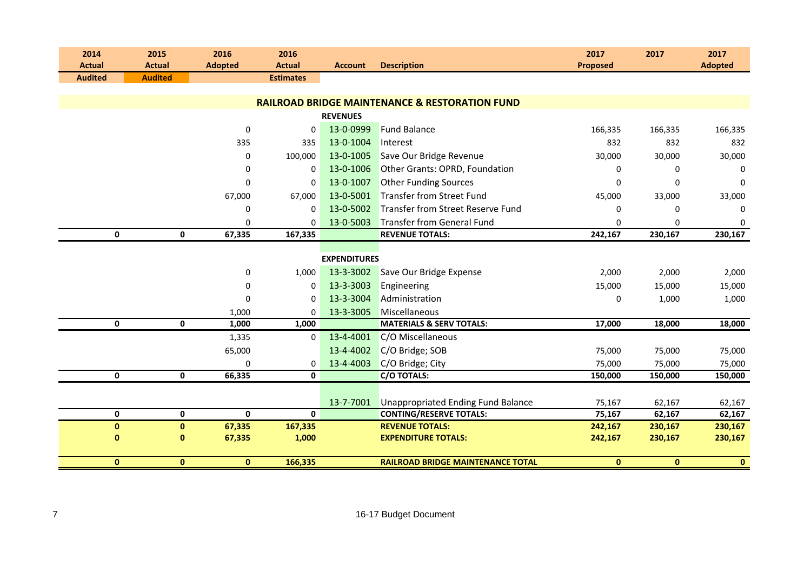| 2014           | 2015                       | 2016           | 2016             |                     |                                                           | 2017            | 2017        | 2017           |
|----------------|----------------------------|----------------|------------------|---------------------|-----------------------------------------------------------|-----------------|-------------|----------------|
| <b>Actual</b>  | <b>Actual</b>              | <b>Adopted</b> | <b>Actual</b>    | <b>Account</b>      | <b>Description</b>                                        | <b>Proposed</b> |             | <b>Adopted</b> |
| <b>Audited</b> | <b>Audited</b>             |                | <b>Estimates</b> |                     |                                                           |                 |             |                |
|                |                            |                |                  |                     |                                                           |                 |             |                |
|                |                            |                |                  |                     | <b>RAILROAD BRIDGE MAINTENANCE &amp; RESTORATION FUND</b> |                 |             |                |
|                |                            |                |                  | <b>REVENUES</b>     |                                                           |                 |             |                |
|                |                            | $\mathbf 0$    | $\Omega$         | 13-0-0999           | <b>Fund Balance</b>                                       | 166,335         | 166,335     | 166,335        |
|                |                            | 335            | 335              | 13-0-1004           | Interest                                                  | 832             | 832         | 832            |
|                |                            | $\mathbf 0$    | 100,000          | 13-0-1005           | Save Our Bridge Revenue                                   | 30,000          | 30,000      | 30,000         |
|                |                            | $\mathbf 0$    | $\Omega$         | 13-0-1006           | Other Grants: OPRD, Foundation                            | 0               | 0           | 0              |
|                |                            | $\mathbf 0$    | 0                | 13-0-1007           | <b>Other Funding Sources</b>                              | 0               | $\Omega$    | 0              |
|                |                            | 67,000         | 67,000           | 13-0-5001           | Transfer from Street Fund                                 | 45,000          | 33,000      | 33,000         |
|                |                            | $\mathbf 0$    | 0                | 13-0-5002           | Transfer from Street Reserve Fund                         | 0               | $\mathbf 0$ | 0              |
|                |                            | 0              | $\Omega$         | 13-0-5003           | <b>Transfer from General Fund</b>                         | 0               | $\Omega$    | 0              |
|                | $\mathbf 0$<br>0           | 67,335         | 167,335          |                     | <b>REVENUE TOTALS:</b>                                    | 242,167         | 230,167     | 230,167        |
|                |                            |                |                  |                     |                                                           |                 |             |                |
|                |                            |                |                  | <b>EXPENDITURES</b> |                                                           |                 |             |                |
|                |                            | $\pmb{0}$      | 1,000            | 13-3-3002           | Save Our Bridge Expense                                   | 2,000           | 2,000       | 2,000          |
|                |                            | 0              | 0                | 13-3-3003           | Engineering                                               | 15,000          | 15,000      | 15,000         |
|                |                            | $\mathbf 0$    | $\Omega$         | 13-3-3004           | Administration                                            | 0               | 1,000       | 1,000          |
|                |                            | 1,000          | $\mathbf 0$      | 13-3-3005           | Miscellaneous                                             |                 |             |                |
|                | $\mathbf 0$<br>$\mathbf 0$ | 1,000          | 1,000            |                     | <b>MATERIALS &amp; SERV TOTALS:</b>                       | 17,000          | 18,000      | 18,000         |
|                |                            | 1,335          | $\mathbf 0$      | 13-4-4001           | C/O Miscellaneous                                         |                 |             |                |
|                |                            | 65,000         |                  | 13-4-4002           | C/O Bridge; SOB                                           | 75,000          | 75,000      | 75,000         |
|                |                            | 0              | 0                | 13-4-4003           | C/O Bridge; City                                          | 75,000          | 75,000      | 75,000         |
|                | $\mathbf 0$<br>$\mathbf 0$ | 66,335         | 0                |                     | C/O TOTALS:                                               | 150,000         | 150,000     | 150,000        |
|                |                            |                |                  |                     |                                                           |                 |             |                |
|                |                            |                |                  | 13-7-7001           | <b>Unappropriated Ending Fund Balance</b>                 | 75,167          | 62,167      | 62,167         |
|                | 0<br>$\mathbf 0$           | $\mathbf 0$    | $\mathbf 0$      |                     | <b>CONTING/RESERVE TOTALS:</b>                            | 75,167          | 62,167      | 62,167         |
|                | $\pmb{0}$<br>$\pmb{0}$     | 67,335         | 167,335          |                     | <b>REVENUE TOTALS:</b>                                    | 242,167         | 230,167     | 230,167        |
|                | $\mathbf{0}$<br>0          | 67,335         | 1,000            |                     | <b>EXPENDITURE TOTALS:</b>                                | 242,167         | 230,167     | 230,167        |
|                | $\pmb{0}$<br>$\pmb{0}$     | $\mathbf{0}$   | 166,335          |                     | <b>RAILROAD BRIDGE MAINTENANCE TOTAL</b>                  | $\mathbf 0$     | $\bf{0}$    | $\mathbf{0}$   |
|                |                            |                |                  |                     |                                                           |                 |             |                |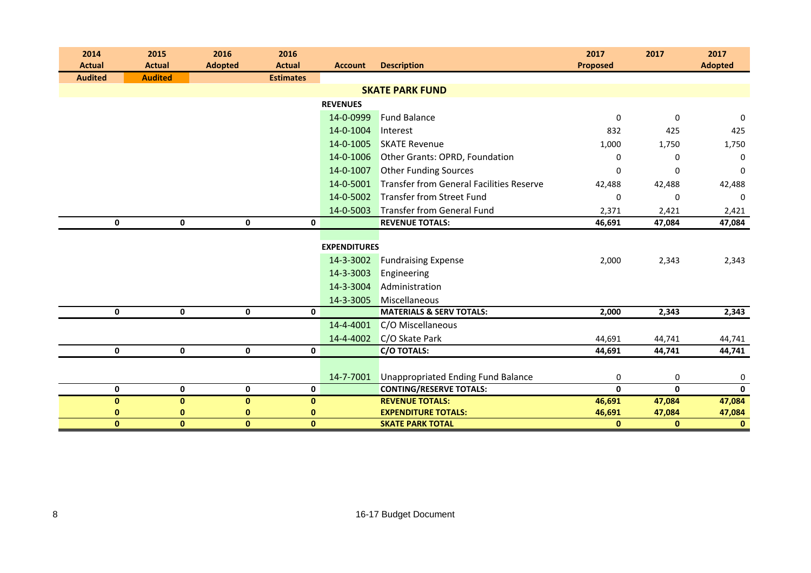| 2014           | 2015                       | 2016           | 2016             |                     |                                           | 2017             | 2017         | 2017           |
|----------------|----------------------------|----------------|------------------|---------------------|-------------------------------------------|------------------|--------------|----------------|
| <b>Actual</b>  | <b>Actual</b>              | <b>Adopted</b> | <b>Actual</b>    | <b>Account</b>      | <b>Description</b>                        | <b>Proposed</b>  |              | <b>Adopted</b> |
| <b>Audited</b> | <b>Audited</b>             |                | <b>Estimates</b> |                     | <b>SKATE PARK FUND</b>                    |                  |              |                |
|                |                            |                |                  |                     |                                           |                  |              |                |
|                |                            |                |                  | <b>REVENUES</b>     |                                           |                  |              |                |
|                |                            |                |                  | 14-0-0999           | <b>Fund Balance</b>                       | $\boldsymbol{0}$ | $\mathbf 0$  | 0              |
|                |                            |                |                  | 14-0-1004           | Interest                                  | 832              | 425          | 425            |
|                |                            |                |                  | 14-0-1005           | <b>SKATE Revenue</b>                      | 1,000            | 1,750        | 1,750          |
|                |                            |                |                  | 14-0-1006           | Other Grants: OPRD, Foundation            | 0                | 0            | 0              |
|                |                            |                |                  | 14-0-1007           | <b>Other Funding Sources</b>              | 0                | 0            | $\mathbf 0$    |
|                |                            |                |                  | 14-0-5001           | Transfer from General Facilities Reserve  | 42,488           | 42,488       | 42,488         |
|                |                            |                |                  | 14-0-5002           | <b>Transfer from Street Fund</b>          | 0                | 0            | $\Omega$       |
|                |                            |                |                  | 14-0-5003           | <b>Transfer from General Fund</b>         | 2,371            | 2,421        | 2,421          |
|                | $\mathbf 0$<br>0           | $\mathbf 0$    | $\mathbf 0$      |                     | <b>REVENUE TOTALS:</b>                    | 46,691           | 47,084       | 47,084         |
|                |                            |                |                  |                     |                                           |                  |              |                |
|                |                            |                |                  | <b>EXPENDITURES</b> |                                           |                  |              |                |
|                |                            |                |                  | 14-3-3002           | <b>Fundraising Expense</b>                | 2,000            | 2,343        | 2,343          |
|                |                            |                |                  | 14-3-3003           | Engineering                               |                  |              |                |
|                |                            |                |                  | 14-3-3004           | Administration                            |                  |              |                |
|                |                            |                |                  | 14-3-3005           | Miscellaneous                             |                  |              |                |
|                | $\mathbf 0$<br>$\mathbf 0$ | 0              | $\mathbf 0$      |                     | <b>MATERIALS &amp; SERV TOTALS:</b>       | 2,000            | 2,343        | 2,343          |
|                |                            |                |                  | 14-4-4001           | C/O Miscellaneous                         |                  |              |                |
|                |                            |                |                  | 14-4-4002           | C/O Skate Park                            | 44,691           | 44,741       | 44,741         |
|                | $\pmb{0}$<br>$\mathbf 0$   | 0              | $\mathbf 0$      |                     | <b>C/O TOTALS:</b>                        | 44,691           | 44,741       | 44,741         |
|                |                            |                |                  |                     |                                           |                  |              |                |
|                |                            |                |                  | 14-7-7001           | <b>Unappropriated Ending Fund Balance</b> | $\mathbf 0$      | 0            | 0              |
|                | $\mathbf 0$<br>$\mathbf 0$ | 0              | $\mathbf 0$      |                     | <b>CONTING/RESERVE TOTALS:</b>            | 0                | $\mathbf{0}$ | $\mathbf 0$    |
|                | $\pmb{0}$<br>$\bf{0}$      | $\pmb{0}$      | $\mathbf 0$      |                     | <b>REVENUE TOTALS:</b>                    | 46,691           | 47,084       | 47,084         |
|                | 0<br>0                     | $\mathbf{0}$   | 0                |                     | <b>EXPENDITURE TOTALS:</b>                | 46,691           | 47,084       | 47,084         |
|                | $\mathbf{0}$<br>$\bf{0}$   | $\pmb{0}$      | $\pmb{0}$        |                     | <b>SKATE PARK TOTAL</b>                   | $\bf{0}$         | $\mathbf{0}$ | $\mathbf{0}$   |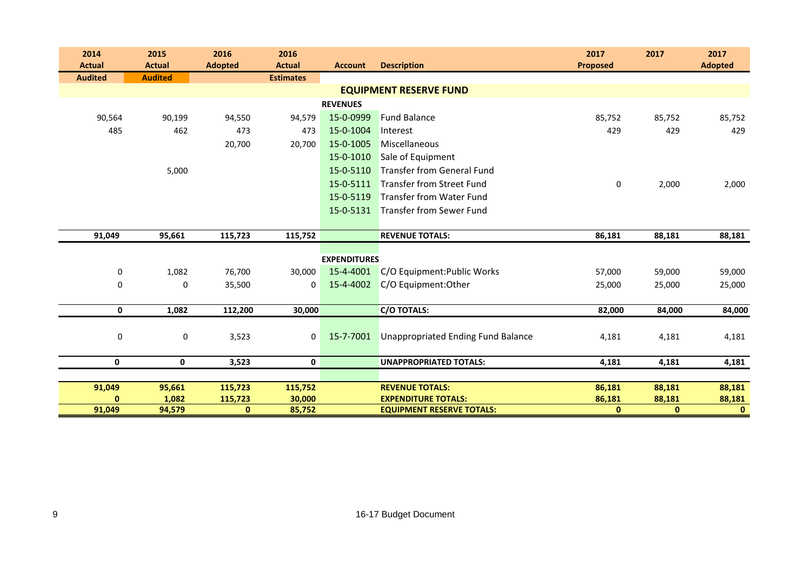| 2014           | 2015            | 2016               | 2016              |                     |                                                      | 2017             | 2017             | 2017             |
|----------------|-----------------|--------------------|-------------------|---------------------|------------------------------------------------------|------------------|------------------|------------------|
| <b>Actual</b>  | <b>Actual</b>   | <b>Adopted</b>     | <b>Actual</b>     | <b>Account</b>      | <b>Description</b>                                   | <b>Proposed</b>  |                  | <b>Adopted</b>   |
| <b>Audited</b> | <b>Audited</b>  |                    | <b>Estimates</b>  |                     |                                                      |                  |                  |                  |
|                |                 |                    |                   |                     | <b>EQUIPMENT RESERVE FUND</b>                        |                  |                  |                  |
|                |                 |                    |                   | <b>REVENUES</b>     |                                                      |                  |                  |                  |
| 90,564         | 90,199          | 94,550             | 94,579            | 15-0-0999           | <b>Fund Balance</b>                                  | 85,752           | 85,752           | 85,752           |
| 485            | 462             | 473                | 473               | 15-0-1004           | Interest                                             | 429              | 429              | 429              |
|                |                 | 20,700             | 20,700            | 15-0-1005           | Miscellaneous                                        |                  |                  |                  |
|                |                 |                    |                   | 15-0-1010           | Sale of Equipment                                    |                  |                  |                  |
|                | 5,000           |                    |                   | 15-0-5110           | <b>Transfer from General Fund</b>                    |                  |                  |                  |
|                |                 |                    |                   | 15-0-5111           | <b>Transfer from Street Fund</b>                     | 0                | 2,000            | 2,000            |
|                |                 |                    |                   | 15-0-5119           | <b>Transfer from Water Fund</b>                      |                  |                  |                  |
|                |                 |                    |                   | 15-0-5131           | Transfer from Sewer Fund                             |                  |                  |                  |
|                |                 |                    |                   |                     |                                                      |                  |                  |                  |
| 91,049         | 95,661          | 115,723            | 115,752           |                     | <b>REVENUE TOTALS:</b>                               | 86,181           | 88,181           | 88,181           |
|                |                 |                    |                   |                     |                                                      |                  |                  |                  |
|                |                 |                    |                   | <b>EXPENDITURES</b> |                                                      |                  |                  |                  |
| 0              | 1,082           | 76,700             | 30,000            | 15-4-4001           | C/O Equipment: Public Works                          | 57,000           | 59,000           | 59,000           |
| $\mathbf 0$    | 0               | 35,500             | $\Omega$          | 15-4-4002           | C/O Equipment: Other                                 | 25,000           | 25,000           | 25,000           |
|                |                 |                    |                   |                     |                                                      |                  |                  |                  |
| 0              | 1,082           | 112,200            | 30,000            |                     | <b>C/O TOTALS:</b>                                   | 82,000           | 84,000           | 84,000           |
|                |                 |                    |                   |                     |                                                      |                  |                  |                  |
| 0              | 0               | 3,523              | $\mathbf 0$       | 15-7-7001           | Unappropriated Ending Fund Balance                   | 4,181            | 4,181            | 4,181            |
|                |                 |                    |                   |                     |                                                      |                  |                  |                  |
| $\mathbf 0$    | $\mathbf 0$     | 3,523              | $\mathbf{0}$      |                     | <b>UNAPPROPRIATED TOTALS:</b>                        | 4,181            | 4,181            | 4,181            |
|                |                 |                    |                   |                     |                                                      |                  |                  |                  |
| 91,049         | 95,661<br>1,082 | 115,723<br>115,723 | 115,752<br>30,000 |                     | <b>REVENUE TOTALS:</b><br><b>EXPENDITURE TOTALS:</b> | 86,181<br>86,181 | 88,181<br>88,181 | 88,181<br>88,181 |
| 91,049         | 94,579          | $\mathbf{0}$       | 85,752            |                     | <b>EQUIPMENT RESERVE TOTALS:</b>                     | $\mathbf{0}$     | $\mathbf{0}$     | $\mathbf{0}$     |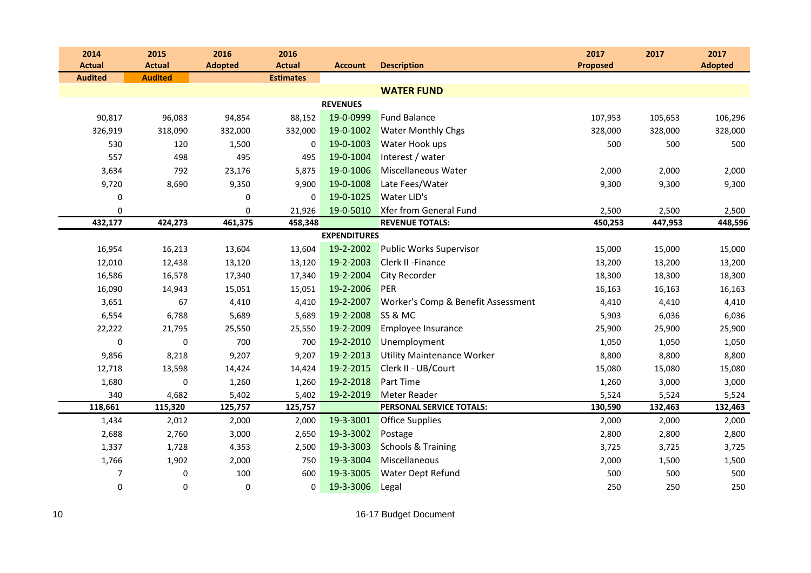| 2014           | 2015           | 2016           | 2016             |                     |                                    | 2017            | 2017    | 2017           |
|----------------|----------------|----------------|------------------|---------------------|------------------------------------|-----------------|---------|----------------|
| <b>Actual</b>  | <b>Actual</b>  | <b>Adopted</b> | <b>Actual</b>    | <b>Account</b>      | <b>Description</b>                 | <b>Proposed</b> |         | <b>Adopted</b> |
| <b>Audited</b> | <b>Audited</b> |                | <b>Estimates</b> |                     |                                    |                 |         |                |
|                |                |                |                  |                     | <b>WATER FUND</b>                  |                 |         |                |
|                |                |                |                  | <b>REVENUES</b>     |                                    |                 |         |                |
| 90,817         | 96,083         | 94,854         | 88,152           | 19-0-0999           | <b>Fund Balance</b>                | 107,953         | 105,653 | 106,296        |
| 326,919        | 318,090        | 332,000        | 332,000          | 19-0-1002           | <b>Water Monthly Chgs</b>          | 328,000         | 328,000 | 328,000        |
| 530            | 120            | 1,500          | 0                | 19-0-1003           | Water Hook ups                     | 500             | 500     | 500            |
| 557            | 498            | 495            | 495              | 19-0-1004           | Interest / water                   |                 |         |                |
| 3,634          | 792            | 23,176         | 5,875            | 19-0-1006           | Miscellaneous Water                | 2,000           | 2,000   | 2,000          |
| 9,720          | 8,690          | 9,350          | 9,900            | 19-0-1008           | Late Fees/Water                    | 9,300           | 9,300   | 9,300          |
| 0              |                | 0              | $\mathbf 0$      | 19-0-1025           | Water LID's                        |                 |         |                |
| 0              |                | $\mathbf 0$    | 21,926           | 19-0-5010           | Xfer from General Fund             | 2,500           | 2,500   | 2,500          |
| 432,177        | 424,273        | 461,375        | 458,348          |                     | <b>REVENUE TOTALS:</b>             | 450,253         | 447,953 | 448,596        |
|                |                |                |                  | <b>EXPENDITURES</b> |                                    |                 |         |                |
| 16,954         | 16,213         | 13,604         | 13,604           | 19-2-2002           | <b>Public Works Supervisor</b>     | 15,000          | 15,000  | 15,000         |
| 12,010         | 12,438         | 13,120         | 13,120           | 19-2-2003           | Clerk II - Finance                 | 13,200          | 13,200  | 13,200         |
| 16,586         | 16,578         | 17,340         | 17,340           | 19-2-2004           | <b>City Recorder</b>               | 18,300          | 18,300  | 18,300         |
| 16,090         | 14,943         | 15,051         | 15,051           | 19-2-2006           | PER                                | 16,163          | 16,163  | 16,163         |
| 3,651          | 67             | 4,410          | 4,410            | 19-2-2007           | Worker's Comp & Benefit Assessment | 4,410           | 4,410   | 4,410          |
| 6,554          | 6,788          | 5,689          | 5,689            | 19-2-2008           | SS & MC                            | 5,903           | 6,036   | 6,036          |
| 22,222         | 21,795         | 25,550         | 25,550           | 19-2-2009           | Employee Insurance                 | 25,900          | 25,900  | 25,900         |
| 0              | $\mathbf 0$    | 700            | 700              | 19-2-2010           | Unemployment                       | 1,050           | 1,050   | 1,050          |
| 9,856          | 8,218          | 9,207          | 9,207            | 19-2-2013           | <b>Utility Maintenance Worker</b>  | 8,800           | 8,800   | 8,800          |
| 12,718         | 13,598         | 14,424         | 14,424           | 19-2-2015           | Clerk II - UB/Court                | 15,080          | 15,080  | 15,080         |
| 1,680          | $\pmb{0}$      | 1,260          | 1,260            | 19-2-2018           | <b>Part Time</b>                   | 1,260           | 3,000   | 3,000          |
| 340            | 4,682          | 5,402          | 5,402            | 19-2-2019           | Meter Reader                       | 5,524           | 5,524   | 5,524          |
| 118,661        | 115,320        | 125,757        | 125,757          |                     | PERSONAL SERVICE TOTALS:           | 130,590         | 132,463 | 132,463        |
| 1,434          | 2,012          | 2,000          | 2,000            | 19-3-3001           | <b>Office Supplies</b>             | 2,000           | 2,000   | 2,000          |
| 2,688          | 2,760          | 3,000          | 2,650            | 19-3-3002           | Postage                            | 2,800           | 2,800   | 2,800          |
| 1,337          | 1,728          | 4,353          | 2,500            | 19-3-3003           | <b>Schools &amp; Training</b>      | 3,725           | 3,725   | 3,725          |
| 1,766          | 1,902          | 2,000          | 750              | 19-3-3004           | Miscellaneous                      | 2,000           | 1,500   | 1,500          |
| 7              | 0              | 100            | 600              | 19-3-3005           | Water Dept Refund                  | 500             | 500     | 500            |
| 0              | $\pmb{0}$      | $\pmb{0}$      | 0                | 19-3-3006           | Legal                              | 250             | 250     | 250            |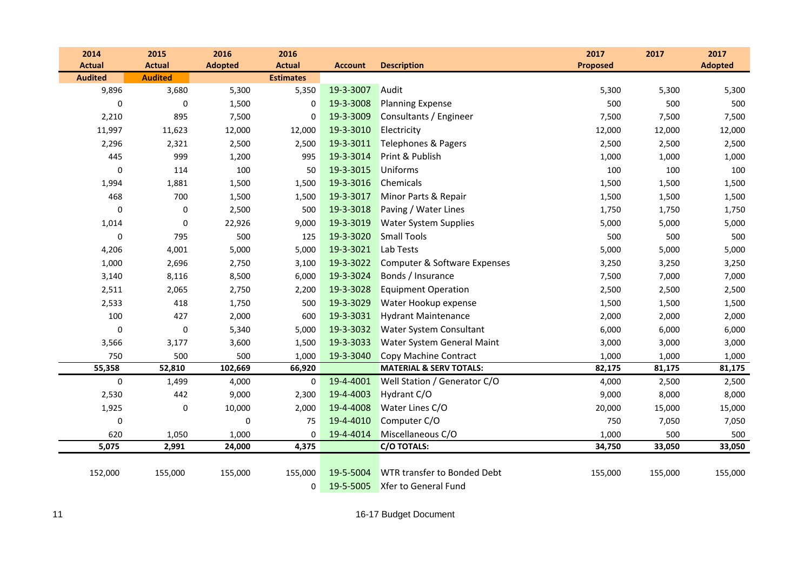| 2014           | 2015           | 2016           | 2016             |                |                                    | 2017            | 2017    | 2017           |
|----------------|----------------|----------------|------------------|----------------|------------------------------------|-----------------|---------|----------------|
| <b>Actual</b>  | <b>Actual</b>  | <b>Adopted</b> | <b>Actual</b>    | <b>Account</b> | <b>Description</b>                 | <b>Proposed</b> |         | <b>Adopted</b> |
| <b>Audited</b> | <b>Audited</b> |                | <b>Estimates</b> |                |                                    |                 |         |                |
| 9,896          | 3,680          | 5,300          | 5,350            | 19-3-3007      | Audit                              | 5,300           | 5,300   | 5,300          |
| 0              | 0              | 1,500          | 0                | 19-3-3008      | <b>Planning Expense</b>            | 500             | 500     | 500            |
| 2,210          | 895            | 7,500          | 0                | 19-3-3009      | Consultants / Engineer             | 7,500           | 7,500   | 7,500          |
| 11,997         | 11,623         | 12,000         | 12,000           | 19-3-3010      | Electricity                        | 12,000          | 12,000  | 12,000         |
| 2,296          | 2,321          | 2,500          | 2,500            | 19-3-3011      | Telephones & Pagers                | 2,500           | 2,500   | 2,500          |
| 445            | 999            | 1,200          | 995              | 19-3-3014      | Print & Publish                    | 1,000           | 1,000   | 1,000          |
| 0              | 114            | 100            | 50               | 19-3-3015      | Uniforms                           | 100             | 100     | 100            |
| 1,994          | 1,881          | 1,500          | 1,500            | 19-3-3016      | Chemicals                          | 1,500           | 1,500   | 1,500          |
| 468            | 700            | 1,500          | 1,500            | 19-3-3017      | Minor Parts & Repair               | 1,500           | 1,500   | 1,500          |
| 0              | 0              | 2,500          | 500              | 19-3-3018      | Paving / Water Lines               | 1,750           | 1,750   | 1,750          |
| 1,014          | 0              | 22,926         | 9,000            | 19-3-3019      | <b>Water System Supplies</b>       | 5,000           | 5,000   | 5,000          |
| 0              | 795            | 500            | 125              | 19-3-3020      | <b>Small Tools</b>                 | 500             | 500     | 500            |
| 4,206          | 4,001          | 5,000          | 5,000            | 19-3-3021      | Lab Tests                          | 5,000           | 5,000   | 5,000          |
| 1,000          | 2,696          | 2,750          | 3,100            | 19-3-3022      | Computer & Software Expenses       | 3,250           | 3,250   | 3,250          |
| 3,140          | 8,116          | 8,500          | 6,000            | 19-3-3024      | Bonds / Insurance                  | 7,500           | 7,000   | 7,000          |
| 2,511          | 2,065          | 2,750          | 2,200            | 19-3-3028      | <b>Equipment Operation</b>         | 2,500           | 2,500   | 2,500          |
| 2,533          | 418            | 1,750          | 500              | 19-3-3029      | Water Hookup expense               | 1,500           | 1,500   | 1,500          |
| 100            | 427            | 2,000          | 600              | 19-3-3031      | <b>Hydrant Maintenance</b>         | 2,000           | 2,000   | 2,000          |
| 0              | $\pmb{0}$      | 5,340          | 5,000            | 19-3-3032      | Water System Consultant            | 6,000           | 6,000   | 6,000          |
| 3,566          | 3,177          | 3,600          | 1,500            | 19-3-3033      | Water System General Maint         | 3,000           | 3,000   | 3,000          |
| 750            | 500            | 500            | 1,000            | 19-3-3040      | Copy Machine Contract              | 1,000           | 1,000   | 1,000          |
| 55,358         | 52,810         | 102,669        | 66,920           |                | <b>MATERIAL &amp; SERV TOTALS:</b> | 82,175          | 81,175  | 81,175         |
| $\pmb{0}$      | 1,499          | 4,000          | 0                | 19-4-4001      | Well Station / Generator C/O       | 4,000           | 2,500   | 2,500          |
| 2,530          | 442            | 9,000          | 2,300            | 19-4-4003      | Hydrant C/O                        | 9,000           | 8,000   | 8,000          |
| 1,925          | 0              | 10,000         | 2,000            | 19-4-4008      | Water Lines C/O                    | 20,000          | 15,000  | 15,000         |
| 0              |                | 0              | 75               | 19-4-4010      | Computer C/O                       | 750             | 7,050   | 7,050          |
| 620            | 1,050          | 1,000          | 0                | 19-4-4014      | Miscellaneous C/O                  | 1,000           | 500     | 500            |
| 5,075          | 2,991          | 24,000         | 4,375            |                | C/O TOTALS:                        | 34,750          | 33,050  | 33,050         |
|                |                |                |                  |                |                                    |                 |         |                |
| 152,000        | 155,000        | 155,000        | 155,000          | 19-5-5004      | WTR transfer to Bonded Debt        | 155,000         | 155,000 | 155,000        |
|                |                |                | 0                | 19-5-5005      | Xfer to General Fund               |                 |         |                |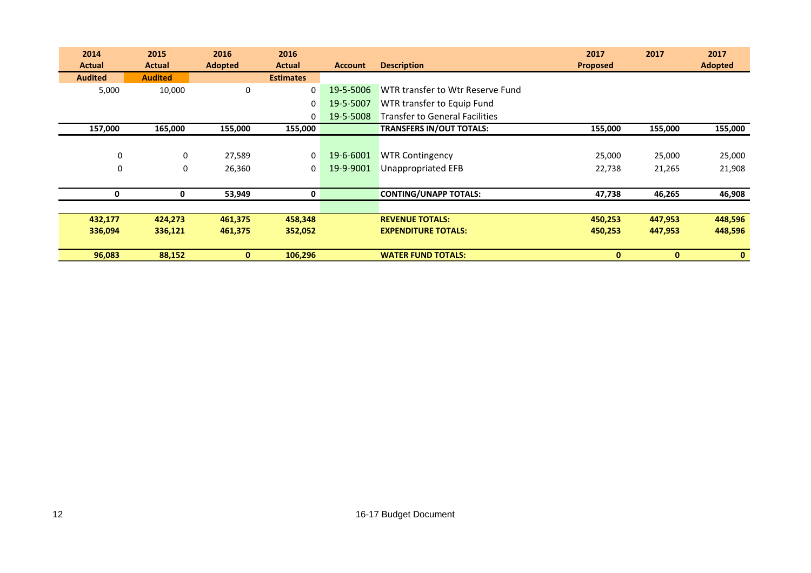| 2014           | 2015           | 2016                  | 2016             |                |                                       | 2017            | 2017         | 2017           |
|----------------|----------------|-----------------------|------------------|----------------|---------------------------------------|-----------------|--------------|----------------|
| <b>Actual</b>  | <b>Actual</b>  | <b>Adopted</b>        | <b>Actual</b>    | <b>Account</b> | <b>Description</b>                    | <b>Proposed</b> |              | <b>Adopted</b> |
| <b>Audited</b> | <b>Audited</b> |                       | <b>Estimates</b> |                |                                       |                 |              |                |
| 5,000          | 10,000         | $\mathbf 0$           | $\Omega$         | 19-5-5006      | WTR transfer to Wtr Reserve Fund      |                 |              |                |
|                |                |                       | 0                | 19-5-5007      | WTR transfer to Equip Fund            |                 |              |                |
|                |                |                       | 0                | 19-5-5008      | <b>Transfer to General Facilities</b> |                 |              |                |
| 157,000        | 165,000        | 155,000               | 155,000          |                | <b>TRANSFERS IN/OUT TOTALS:</b>       | 155,000         | 155,000      | 155,000        |
|                |                |                       |                  |                |                                       |                 |              |                |
|                | $\mathbf 0$    | $\mathbf 0$<br>27,589 | 0                | 19-6-6001      | <b>WTR Contingency</b>                | 25,000          | 25,000       | 25,000         |
|                | $\mathbf 0$    | $\mathbf 0$<br>26,360 | 0                | 19-9-9001      | <b>Unappropriated EFB</b>             | 22,738          | 21,265       | 21,908         |
|                |                |                       |                  |                |                                       |                 |              |                |
|                | 0              | 0<br>53,949           | 0                |                | <b>CONTING/UNAPP TOTALS:</b>          | 47,738          | 46,265       | 46,908         |
|                |                |                       |                  |                |                                       |                 |              |                |
| 432,177        | 424,273        | 461,375               | 458,348          |                | <b>REVENUE TOTALS:</b>                | 450,253         | 447,953      | 448,596        |
| 336,094        | 336,121        | 461,375               | 352,052          |                | <b>EXPENDITURE TOTALS:</b>            | 450,253         | 447,953      | 448,596        |
|                |                |                       |                  |                |                                       |                 |              |                |
| 96,083         | 88,152         | $\mathbf{0}$          | 106,296          |                | <b>WATER FUND TOTALS:</b>             | 0               | $\mathbf{0}$ | $\mathbf{0}$   |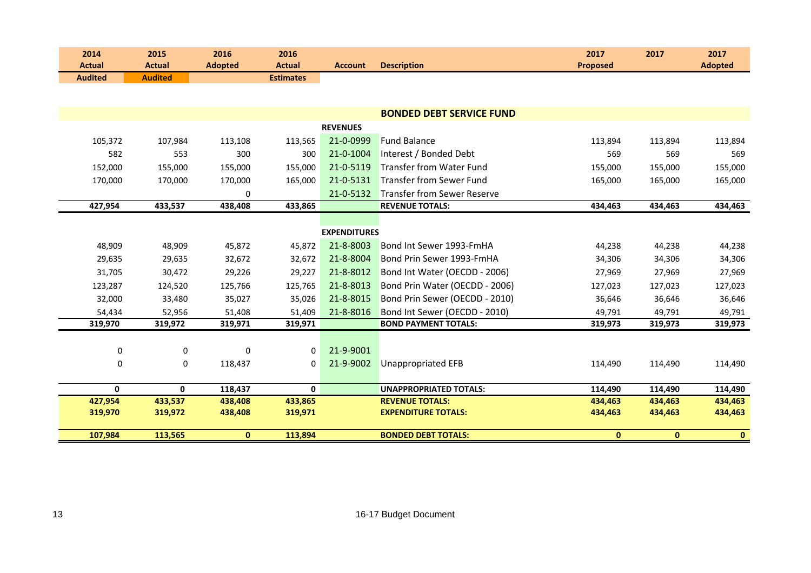| 2014<br><b>Actual</b> | 2015<br><b>Actual</b> | 2016<br><b>Adopted</b> | 2016<br><b>Actual</b> | <b>Account</b>      | <b>Description</b>                                   | 2017<br><b>Proposed</b> | 2017               | 2017<br><b>Adopted</b> |
|-----------------------|-----------------------|------------------------|-----------------------|---------------------|------------------------------------------------------|-------------------------|--------------------|------------------------|
| <b>Audited</b>        | <b>Audited</b>        |                        | <b>Estimates</b>      |                     |                                                      |                         |                    |                        |
|                       |                       |                        |                       |                     |                                                      |                         |                    |                        |
|                       |                       |                        |                       |                     | <b>BONDED DEBT SERVICE FUND</b>                      |                         |                    |                        |
|                       |                       |                        |                       | <b>REVENUES</b>     |                                                      |                         |                    |                        |
| 105,372               | 107,984               | 113,108                | 113,565               | 21-0-0999           | <b>Fund Balance</b>                                  | 113,894                 | 113,894            | 113,894                |
| 582                   | 553                   | 300                    | 300                   | 21-0-1004           | Interest / Bonded Debt                               | 569                     | 569                | 569                    |
| 152,000               | 155,000               | 155,000                | 155,000               | 21-0-5119           | <b>Transfer from Water Fund</b>                      | 155,000                 | 155,000            | 155,000                |
| 170,000               | 170,000               | 170,000                | 165,000               | 21-0-5131           | <b>Transfer from Sewer Fund</b>                      | 165,000                 | 165,000            | 165,000                |
|                       |                       | 0                      |                       | 21-0-5132           | <b>Transfer from Sewer Reserve</b>                   |                         |                    |                        |
| 427,954               | 433,537               | 438,408                | 433,865               |                     | <b>REVENUE TOTALS:</b>                               | 434,463                 | 434,463            | 434,463                |
|                       |                       |                        |                       |                     |                                                      |                         |                    |                        |
|                       |                       |                        |                       | <b>EXPENDITURES</b> |                                                      |                         |                    |                        |
| 48,909                | 48,909                | 45,872                 | 45,872                | 21-8-8003           | Bond Int Sewer 1993-FmHA                             | 44,238                  | 44,238             | 44,238                 |
| 29,635                | 29,635                | 32,672                 | 32,672                | 21-8-8004           | Bond Prin Sewer 1993-FmHA                            | 34,306                  | 34,306             | 34,306                 |
| 31,705                | 30,472                | 29,226                 | 29,227                | 21-8-8012           | Bond Int Water (OECDD - 2006)                        | 27,969                  | 27,969             | 27,969                 |
| 123,287               | 124,520               | 125,766                | 125,765               | 21-8-8013           | Bond Prin Water (OECDD - 2006)                       | 127,023                 | 127,023            | 127,023                |
| 32,000                | 33,480                | 35,027                 | 35,026                | 21-8-8015           | Bond Prin Sewer (OECDD - 2010)                       | 36,646                  | 36,646             | 36,646                 |
| 54,434                | 52,956                | 51,408                 | 51,409                | 21-8-8016           | Bond Int Sewer (OECDD - 2010)                        | 49,791                  | 49,791             | 49,791                 |
| 319,970               | 319,972               | 319,971                | 319,971               |                     | <b>BOND PAYMENT TOTALS:</b>                          | 319,973                 | 319,973            | 319,973                |
|                       |                       |                        |                       |                     |                                                      |                         |                    |                        |
| 0                     | 0                     | $\Omega$               | 0                     | 21-9-9001           |                                                      |                         |                    |                        |
| 0                     | 0                     | 118,437                | 0                     | 21-9-9002           | <b>Unappropriated EFB</b>                            | 114,490                 | 114,490            | 114,490                |
|                       |                       |                        |                       |                     |                                                      |                         |                    |                        |
| 0                     | $\mathbf{0}$          | 118,437                | $\mathbf{0}$          |                     | <b>UNAPPROPRIATED TOTALS:</b>                        | 114,490                 | 114,490            | 114,490                |
| 427,954<br>319,970    | 433,537<br>319,972    | 438,408<br>438,408     | 433,865<br>319,971    |                     | <b>REVENUE TOTALS:</b><br><b>EXPENDITURE TOTALS:</b> | 434,463<br>434,463      | 434,463<br>434,463 | 434,463<br>434,463     |
|                       |                       |                        |                       |                     |                                                      |                         |                    |                        |
| 107,984               | 113,565               | $\mathbf{0}$           | 113,894               |                     | <b>BONDED DEBT TOTALS:</b>                           | $\mathbf 0$             | $\mathbf{0}$       | $\mathbf{0}$           |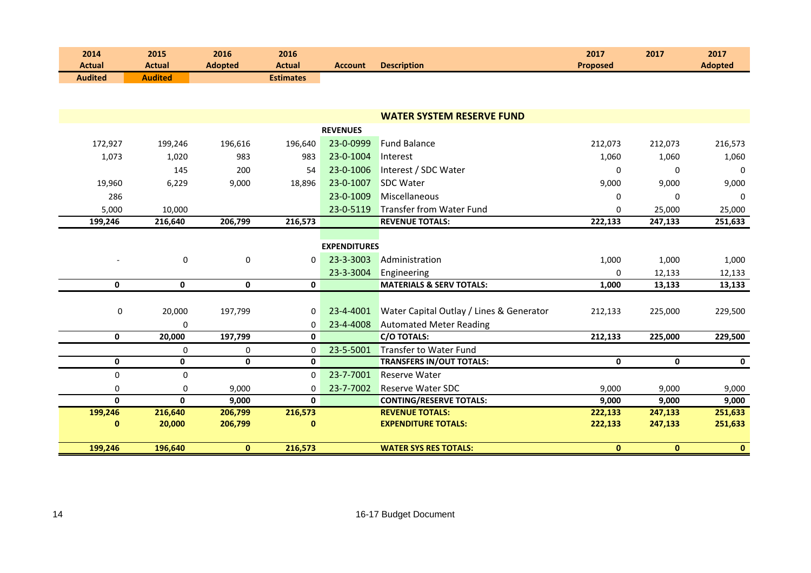| 2014<br><b>Actual</b> | 2015<br><b>Actual</b> | 2016<br><b>Adopted</b> | 2016<br><b>Actual</b> | <b>Account</b>      | <b>Description</b>                       | 2017<br><b>Proposed</b> | 2017         | 2017<br><b>Adopted</b> |
|-----------------------|-----------------------|------------------------|-----------------------|---------------------|------------------------------------------|-------------------------|--------------|------------------------|
| <b>Audited</b>        | <b>Audited</b>        |                        | <b>Estimates</b>      |                     |                                          |                         |              |                        |
|                       |                       |                        |                       |                     |                                          |                         |              |                        |
|                       |                       |                        |                       |                     |                                          |                         |              |                        |
|                       |                       |                        |                       |                     | <b>WATER SYSTEM RESERVE FUND</b>         |                         |              |                        |
|                       |                       |                        |                       | <b>REVENUES</b>     |                                          |                         |              |                        |
| 172,927               | 199,246               | 196,616                | 196,640               | 23-0-0999           | <b>Fund Balance</b>                      | 212,073                 | 212,073      | 216,573                |
| 1,073                 | 1,020                 | 983                    | 983                   | 23-0-1004           | Interest                                 | 1,060                   | 1,060        | 1,060                  |
|                       | 145                   | 200                    | 54                    | 23-0-1006           | Interest / SDC Water                     | $\mathbf 0$             | $\mathbf 0$  | $\mathbf 0$            |
| 19,960                | 6,229                 | 9,000                  | 18,896                | 23-0-1007           | <b>SDC Water</b>                         | 9,000                   | 9,000        | 9,000                  |
| 286                   |                       |                        |                       | 23-0-1009           | Miscellaneous                            | 0                       | $\Omega$     | $\Omega$               |
| 5,000                 | 10,000                |                        |                       | 23-0-5119           | Transfer from Water Fund                 | $\Omega$                | 25,000       | 25,000                 |
| 199,246               | 216,640               | 206,799                | 216,573               |                     | <b>REVENUE TOTALS:</b>                   | 222,133                 | 247,133      | 251,633                |
|                       |                       |                        |                       |                     |                                          |                         |              |                        |
|                       |                       |                        |                       | <b>EXPENDITURES</b> |                                          |                         |              |                        |
|                       | 0                     | $\mathbf 0$            | 0                     | 23-3-3003           | Administration                           | 1,000                   | 1,000        | 1,000                  |
|                       |                       |                        |                       | 23-3-3004           | Engineering                              | 0                       | 12,133       | 12,133                 |
| $\mathbf 0$           | $\mathbf 0$           | 0                      | $\mathbf 0$           |                     | <b>MATERIALS &amp; SERV TOTALS:</b>      | 1,000                   | 13,133       | 13,133                 |
|                       |                       |                        |                       |                     |                                          |                         |              |                        |
| 0                     | 20,000                | 197,799                | 0                     | 23-4-4001           | Water Capital Outlay / Lines & Generator | 212,133                 | 225,000      | 229,500                |
|                       | 0                     |                        | 0                     | 23-4-4008           | <b>Automated Meter Reading</b>           |                         |              |                        |
| 0                     | 20,000                | 197,799                | $\mathbf{0}$          |                     | <b>C/O TOTALS:</b>                       | 212,133                 | 225,000      | 229,500                |
|                       | 0                     | 0                      | 0                     | 23-5-5001           | <b>Transfer to Water Fund</b>            |                         |              |                        |
| $\mathbf 0$           | $\mathbf 0$           | $\mathbf 0$            | 0                     |                     | <b>TRANSFERS IN/OUT TOTALS:</b>          | $\mathbf 0$             | $\mathbf 0$  | $\mathbf 0$            |
| $\mathbf 0$           | $\mathbf 0$           |                        | $\Omega$              | 23-7-7001           | <b>Reserve Water</b>                     |                         |              |                        |
| $\pmb{0}$             | 0                     | 9,000                  | 0                     | 23-7-7002           | <b>Reserve Water SDC</b>                 | 9,000                   | 9,000        | 9,000                  |
| $\mathbf{0}$          | $\mathbf{0}$          | 9,000                  | $\mathbf{0}$          |                     | <b>CONTING/RESERVE TOTALS:</b>           | 9,000                   | 9,000        | 9,000                  |
| 199,246               | 216,640               | 206,799                | 216,573               |                     | <b>REVENUE TOTALS:</b>                   | 222,133                 | 247,133      | 251,633                |
| $\bf{0}$              | 20,000                | 206,799                | $\bf{0}$              |                     | <b>EXPENDITURE TOTALS:</b>               | 222,133                 | 247,133      | 251,633                |
| 199,246               | 196,640               | $\mathbf{0}$           | 216,573               |                     | <b>WATER SYS RES TOTALS:</b>             | $\mathbf{0}$            | $\mathbf{0}$ | $\bullet$              |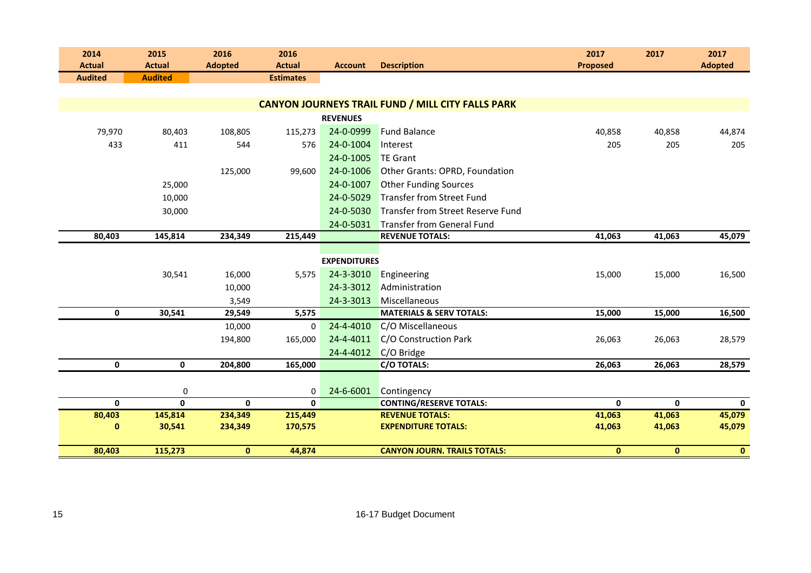| 2014<br><b>Actual</b>  | 2015<br><b>Actual</b>  | 2016<br><b>Adopted</b>  | 2016<br><b>Actual</b>   | <b>Account</b>      | <b>Description</b>                                       | 2017<br><b>Proposed</b> | 2017                  | 2017<br><b>Adopted</b> |
|------------------------|------------------------|-------------------------|-------------------------|---------------------|----------------------------------------------------------|-------------------------|-----------------------|------------------------|
| <b>Audited</b>         | <b>Audited</b>         |                         | <b>Estimates</b>        |                     |                                                          |                         |                       |                        |
|                        |                        |                         |                         |                     |                                                          |                         |                       |                        |
|                        |                        |                         |                         |                     | <b>CANYON JOURNEYS TRAIL FUND / MILL CITY FALLS PARK</b> |                         |                       |                        |
|                        |                        |                         |                         | <b>REVENUES</b>     |                                                          |                         |                       |                        |
| 79,970                 | 80,403                 | 108,805                 | 115,273                 | 24-0-0999           | <b>Fund Balance</b>                                      | 40,858                  | 40,858                | 44,874                 |
| 433                    | 411                    | 544                     | 576                     | 24-0-1004           | Interest                                                 | 205                     | 205                   | 205                    |
|                        |                        |                         |                         | 24-0-1005           | <b>TE Grant</b>                                          |                         |                       |                        |
|                        |                        | 125,000                 | 99,600                  | 24-0-1006           | Other Grants: OPRD, Foundation                           |                         |                       |                        |
|                        | 25,000                 |                         |                         | 24-0-1007           | <b>Other Funding Sources</b>                             |                         |                       |                        |
|                        | 10,000                 |                         |                         | 24-0-5029           | <b>Transfer from Street Fund</b>                         |                         |                       |                        |
|                        | 30,000                 |                         |                         | 24-0-5030           | Transfer from Street Reserve Fund                        |                         |                       |                        |
|                        |                        |                         |                         | 24-0-5031           | <b>Transfer from General Fund</b>                        |                         |                       |                        |
| 80,403                 | 145,814                | 234,349                 | 215,449                 |                     | <b>REVENUE TOTALS:</b>                                   | 41,063                  | 41,063                | 45,079                 |
|                        |                        |                         |                         |                     |                                                          |                         |                       |                        |
|                        |                        |                         |                         | <b>EXPENDITURES</b> |                                                          |                         |                       |                        |
|                        | 30,541                 | 16,000                  | 5,575                   | 24-3-3010           | Engineering                                              | 15,000                  | 15,000                | 16,500                 |
|                        |                        | 10,000                  |                         | 24-3-3012           | Administration                                           |                         |                       |                        |
|                        |                        | 3,549                   |                         | 24-3-3013           | Miscellaneous                                            |                         |                       |                        |
| 0                      | 30,541                 | 29,549                  | 5,575                   |                     | <b>MATERIALS &amp; SERV TOTALS:</b>                      | 15,000                  | 15,000                | 16,500                 |
|                        |                        | 10,000                  | 0                       | 24-4-4010           | C/O Miscellaneous                                        |                         |                       |                        |
|                        |                        | 194,800                 | 165,000                 | 24-4-4011           | C/O Construction Park                                    | 26,063                  | 26,063                | 28,579                 |
|                        |                        |                         |                         | 24-4-4012           | C/O Bridge                                               |                         |                       |                        |
| $\mathbf 0$            | 0                      | 204,800                 | 165,000                 |                     | <b>C/O TOTALS:</b>                                       | 26,063                  | 26,063                | 28,579                 |
|                        |                        |                         |                         |                     |                                                          |                         |                       |                        |
|                        | 0                      |                         | 0                       | 24-6-6001           | Contingency                                              |                         |                       |                        |
| $\mathbf{0}$<br>80,403 | $\mathbf 0$<br>145,814 | $\mathbf{0}$<br>234,349 | $\mathbf{0}$<br>215,449 |                     | <b>CONTING/RESERVE TOTALS:</b><br><b>REVENUE TOTALS:</b> | $\mathbf{0}$<br>41,063  | $\mathbf 0$<br>41,063 | $\mathbf{0}$<br>45,079 |
| $\bf{0}$               | 30,541                 | 234,349                 | 170,575                 |                     | <b>EXPENDITURE TOTALS:</b>                               | 41,063                  | 41,063                | 45,079                 |
|                        |                        |                         |                         |                     |                                                          |                         |                       |                        |
| 80,403                 | 115,273                | $\mathbf{0}$            | 44,874                  |                     | <b>CANYON JOURN. TRAILS TOTALS:</b>                      | $\mathbf{0}$            | $\mathbf{0}$          | $\mathbf{0}$           |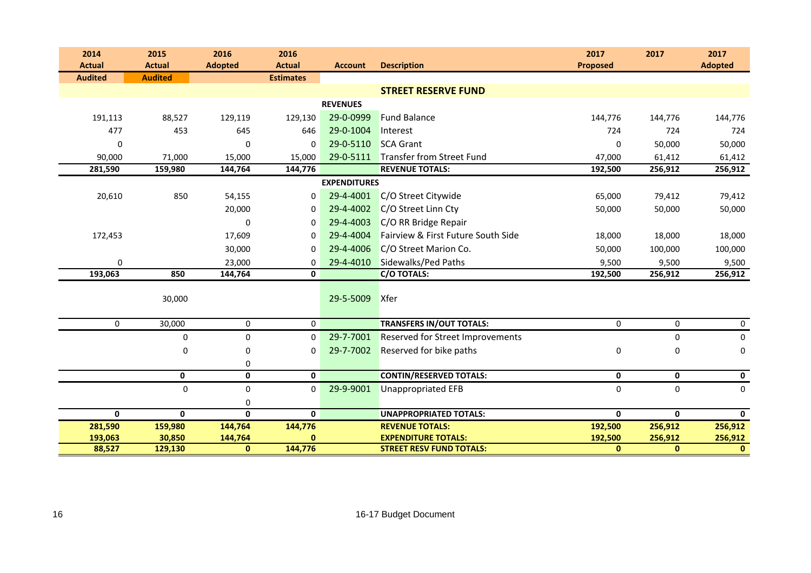| 2014           | 2015           | 2016           | 2016             |                     |                                    | 2017            | 2017         | 2017           |
|----------------|----------------|----------------|------------------|---------------------|------------------------------------|-----------------|--------------|----------------|
| <b>Actual</b>  | <b>Actual</b>  | <b>Adopted</b> | <b>Actual</b>    | <b>Account</b>      | <b>Description</b>                 | <b>Proposed</b> |              | <b>Adopted</b> |
| <b>Audited</b> | <b>Audited</b> |                | <b>Estimates</b> |                     |                                    |                 |              |                |
|                |                |                |                  |                     | <b>STREET RESERVE FUND</b>         |                 |              |                |
|                |                |                |                  | <b>REVENUES</b>     |                                    |                 |              |                |
| 191,113        | 88,527         | 129,119        | 129,130          | 29-0-0999           | <b>Fund Balance</b>                | 144,776         | 144,776      | 144,776        |
| 477            | 453            | 645            | 646              | 29-0-1004           | Interest                           | 724             | 724          | 724            |
| 0              |                | 0              | $\mathbf 0$      | 29-0-5110           | <b>SCA Grant</b>                   | 0               | 50,000       | 50,000         |
| 90,000         | 71,000         | 15,000         | 15,000           | 29-0-5111           | <b>Transfer from Street Fund</b>   | 47,000          | 61,412       | 61,412         |
| 281,590        | 159,980        | 144,764        | 144,776          |                     | <b>REVENUE TOTALS:</b>             | 192,500         | 256,912      | 256,912        |
|                |                |                |                  | <b>EXPENDITURES</b> |                                    |                 |              |                |
| 20,610         | 850            | 54,155         | 0                | 29-4-4001           | C/O Street Citywide                | 65,000          | 79,412       | 79,412         |
|                |                | 20,000         | 0                | 29-4-4002           | C/O Street Linn Cty                | 50,000          | 50,000       | 50,000         |
|                |                | $\mathbf 0$    | $\mathbf 0$      | 29-4-4003           | C/O RR Bridge Repair               |                 |              |                |
| 172,453        |                | 17,609         | $\Omega$         | 29-4-4004           | Fairview & First Future South Side | 18,000          | 18,000       | 18,000         |
|                |                | 30,000         | $\Omega$         | 29-4-4006           | C/O Street Marion Co.              | 50,000          | 100,000      | 100,000        |
| $\Omega$       |                | 23,000         | $\Omega$         | 29-4-4010           | Sidewalks/Ped Paths                | 9,500           | 9,500        | 9,500          |
| 193,063        | 850            | 144,764        | 0                |                     | C/O TOTALS:                        | 192,500         | 256,912      | 256,912        |
|                |                |                |                  |                     |                                    |                 |              |                |
|                | 30,000         |                |                  | 29-5-5009           | <b>Xfer</b>                        |                 |              |                |
| $\mathbf 0$    | 30,000         | $\mathbf 0$    | $\mathbf{0}$     |                     | <b>TRANSFERS IN/OUT TOTALS:</b>    | $\mathbf 0$     | $\mathbf 0$  | 0              |
|                | 0              | 0              | $\mathbf 0$      | 29-7-7001           | Reserved for Street Improvements   |                 | 0            | 0              |
|                | 0              | $\mathbf 0$    | $\mathbf 0$      | 29-7-7002           | Reserved for bike paths            | 0               | 0            | 0              |
|                |                | 0              |                  |                     |                                    |                 |              |                |
|                | $\mathbf 0$    | $\mathbf 0$    | 0                |                     | <b>CONTIN/RESERVED TOTALS:</b>     | 0               | 0            | 0              |
|                | 0              | $\mathbf 0$    | $\mathbf 0$      | 29-9-9001           | Unappropriated EFB                 | $\mathbf 0$     | $\mathbf 0$  | 0              |
|                |                | 0              |                  |                     |                                    |                 |              |                |
| $\mathbf 0$    | $\mathbf 0$    | $\mathbf 0$    | $\mathbf 0$      |                     | <b>UNAPPROPRIATED TOTALS:</b>      | $\mathbf 0$     | $\mathbf 0$  | $\mathbf 0$    |
| 281,590        | 159,980        | 144,764        | 144,776          |                     | <b>REVENUE TOTALS:</b>             | 192,500         | 256,912      | 256,912        |
| 193,063        | 30,850         | 144,764        | 0                |                     | <b>EXPENDITURE TOTALS:</b>         | 192,500         | 256,912      | 256,912        |
| 88,527         | 129,130        | $\mathbf{0}$   | 144,776          |                     | <b>STREET RESV FUND TOTALS:</b>    | $\mathbf{0}$    | $\mathbf{0}$ | $\mathbf{0}$   |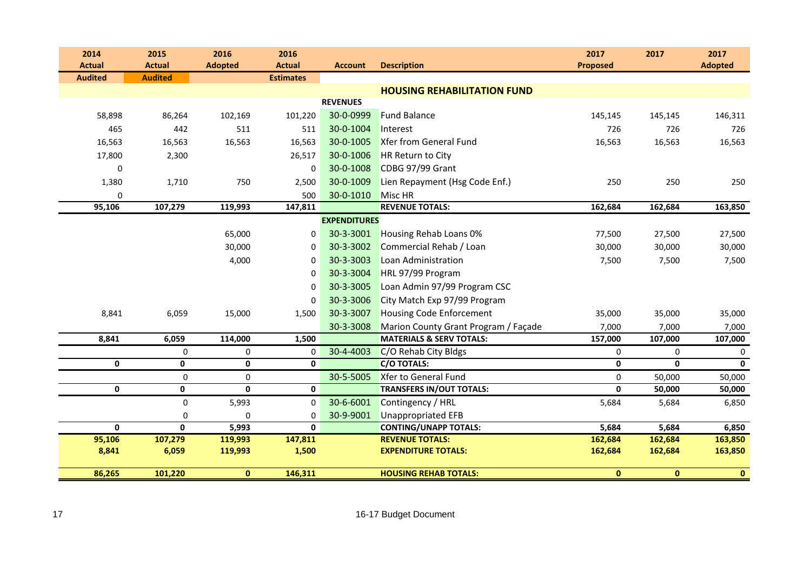| 2014           |              | 2015           | 2016           | 2016             |                     |                                      | 2017            | 2017         | 2017           |
|----------------|--------------|----------------|----------------|------------------|---------------------|--------------------------------------|-----------------|--------------|----------------|
| <b>Actual</b>  |              | <b>Actual</b>  | <b>Adopted</b> | <b>Actual</b>    | <b>Account</b>      | <b>Description</b>                   | <b>Proposed</b> |              | <b>Adopted</b> |
| <b>Audited</b> |              | <b>Audited</b> |                | <b>Estimates</b> |                     |                                      |                 |              |                |
|                |              |                |                |                  |                     | <b>HOUSING REHABILITATION FUND</b>   |                 |              |                |
|                |              |                |                |                  | <b>REVENUES</b>     |                                      |                 |              |                |
|                | 58,898       | 86,264         | 102,169        | 101,220          | 30-0-0999           | <b>Fund Balance</b>                  | 145,145         | 145,145      | 146,311        |
|                | 465          | 442            | 511            | 511              | 30-0-1004           | Interest                             | 726             | 726          | 726            |
|                | 16,563       | 16,563         | 16,563         | 16,563           | 30-0-1005           | <b>Xfer from General Fund</b>        | 16,563          | 16,563       | 16,563         |
|                | 17,800       | 2,300          |                | 26,517           | 30-0-1006           | HR Return to City                    |                 |              |                |
|                | 0            |                |                | 0                | 30-0-1008           | CDBG 97/99 Grant                     |                 |              |                |
|                | 1,380        | 1,710          | 750            | 2,500            | 30-0-1009           | Lien Repayment (Hsg Code Enf.)       | 250             | 250          | 250            |
|                | 0            |                |                | 500              | 30-0-1010           | Misc HR                              |                 |              |                |
|                | 95,106       | 107,279        | 119,993        | 147,811          |                     | <b>REVENUE TOTALS:</b>               | 162,684         | 162,684      | 163,850        |
|                |              |                |                |                  | <b>EXPENDITURES</b> |                                      |                 |              |                |
|                |              |                | 65,000         | 0                | 30-3-3001           | Housing Rehab Loans 0%               | 77,500          | 27,500       | 27,500         |
|                |              |                | 30,000         | $\Omega$         | 30-3-3002           | Commercial Rehab / Loan              | 30,000          | 30,000       | 30,000         |
|                |              |                | 4,000          | 0                | 30-3-3003           | Loan Administration                  | 7,500           | 7,500        | 7,500          |
|                |              |                |                | 0                | 30-3-3004           | HRL 97/99 Program                    |                 |              |                |
|                |              |                |                | $\Omega$         | 30-3-3005           | Loan Admin 97/99 Program CSC         |                 |              |                |
|                |              |                |                | 0                | 30-3-3006           | City Match Exp 97/99 Program         |                 |              |                |
|                | 8,841        | 6,059          | 15,000         | 1,500            | 30-3-3007           | <b>Housing Code Enforcement</b>      | 35,000          | 35,000       | 35,000         |
|                |              |                |                |                  | 30-3-3008           | Marion County Grant Program / Façade | 7,000           | 7,000        | 7,000          |
|                | 8,841        | 6,059          | 114,000        | 1,500            |                     | <b>MATERIALS &amp; SERV TOTALS:</b>  | 157,000         | 107,000      | 107,000        |
|                |              | 0              | 0              | 0                | 30-4-4003           | C/O Rehab City Bldgs                 | $\pmb{0}$       | 0            | 0              |
|                | $\mathbf{0}$ | $\mathbf{0}$   | $\mathbf{0}$   | $\mathbf{0}$     |                     | <b>C/O TOTALS:</b>                   | $\mathbf{0}$    | $\mathbf{0}$ | $\mathbf{0}$   |
|                |              | 0              | 0              |                  | 30-5-5005           | Xfer to General Fund                 | 0               | 50,000       | 50,000         |
|                | $\mathbf 0$  | 0              | 0              | 0                |                     | <b>TRANSFERS IN/OUT TOTALS:</b>      | $\mathbf 0$     | 50,000       | 50,000         |
|                |              | 0              | 5,993          | $\Omega$         | 30-6-6001           | Contingency / HRL                    | 5,684           | 5,684        | 6,850          |
|                |              | 0              | $\Omega$       | 0                | 30-9-9001           | <b>Unappropriated EFB</b>            |                 |              |                |
|                | $\mathbf{0}$ | $\mathbf{0}$   | 5,993          | $\mathbf{0}$     |                     | <b>CONTING/UNAPP TOTALS:</b>         | 5,684           | 5,684        | 6,850          |
|                | 95,106       | 107,279        | 119,993        | 147,811          |                     | <b>REVENUE TOTALS:</b>               | 162,684         | 162,684      | 163,850        |
|                | 8,841        | 6,059          | 119,993        | 1,500            |                     | <b>EXPENDITURE TOTALS:</b>           | 162,684         | 162,684      | 163,850        |
|                | 86,265       | 101,220        | $\mathbf{0}$   | 146,311          |                     | <b>HOUSING REHAB TOTALS:</b>         | $\mathbf{0}$    | $\mathbf{0}$ | $\mathbf{0}$   |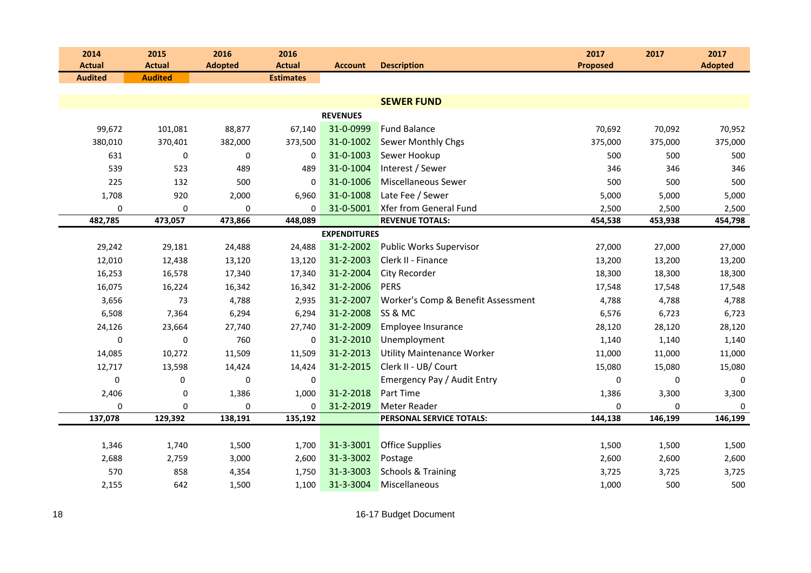| 2014           | 2015                   | 2016           | 2016             |                     |                                    | 2017            | 2017        | 2017           |
|----------------|------------------------|----------------|------------------|---------------------|------------------------------------|-----------------|-------------|----------------|
| <b>Actual</b>  | <b>Actual</b>          | <b>Adopted</b> | <b>Actual</b>    | <b>Account</b>      | <b>Description</b>                 | <b>Proposed</b> |             | <b>Adopted</b> |
| <b>Audited</b> | <b>Audited</b>         |                | <b>Estimates</b> |                     |                                    |                 |             |                |
|                |                        |                |                  |                     | <b>SEWER FUND</b>                  |                 |             |                |
|                |                        |                |                  | <b>REVENUES</b>     |                                    |                 |             |                |
| 99,672         | 101,081                | 88,877         | 67,140           | 31-0-0999           | <b>Fund Balance</b>                | 70,692          | 70,092      | 70,952         |
| 380,010        | 370,401                | 382,000        | 373,500          | 31-0-1002           | Sewer Monthly Chgs                 | 375,000         | 375,000     | 375,000        |
|                | 631<br>0               | $\mathbf 0$    | 0                | 31-0-1003           | Sewer Hookup                       | 500             | 500         | 500            |
|                | 539<br>523             | 489            | 489              | 31-0-1004           | Interest / Sewer                   | 346             | 346         | 346            |
|                | 225<br>132             | 500            | 0                | 31-0-1006           | Miscellaneous Sewer                | 500             | 500         | 500            |
| 1,708          | 920                    | 2,000          | 6,960            | 31-0-1008           | Late Fee / Sewer                   | 5,000           | 5,000       | 5,000          |
|                | 0<br>0                 | 0              | 0                | 31-0-5001           | Xfer from General Fund             | 2,500           | 2,500       | 2,500          |
| 482,785        | 473,057                | 473,866        | 448,089          |                     | <b>REVENUE TOTALS:</b>             | 454,538         | 453,938     | 454,798        |
|                |                        |                |                  | <b>EXPENDITURES</b> |                                    |                 |             |                |
| 29,242         | 29,181                 | 24,488         | 24,488           | 31-2-2002           | <b>Public Works Supervisor</b>     | 27,000          | 27,000      | 27,000         |
| 12,010         | 12,438                 | 13,120         | 13,120           | 31-2-2003           | Clerk II - Finance                 | 13,200          | 13,200      | 13,200         |
| 16,253         | 16,578                 | 17,340         | 17,340           | 31-2-2004           | City Recorder                      | 18,300          | 18,300      | 18,300         |
| 16,075         | 16,224                 | 16,342         | 16,342           | 31-2-2006           | <b>PERS</b>                        | 17,548          | 17,548      | 17,548         |
| 3,656          | 73                     | 4,788          | 2,935            | 31-2-2007           | Worker's Comp & Benefit Assessment | 4,788           | 4,788       | 4,788          |
| 6,508          | 7,364                  | 6,294          | 6,294            | 31-2-2008           | SS & MC                            | 6,576           | 6,723       | 6,723          |
| 24,126         | 23,664                 | 27,740         | 27,740           | 31-2-2009           | Employee Insurance                 | 28,120          | 28,120      | 28,120         |
|                | 0<br>$\mathbf 0$       | 760            | $\Omega$         | 31-2-2010           | Unemployment                       | 1,140           | 1,140       | 1,140          |
| 14,085         | 10,272                 | 11,509         | 11,509           | 31-2-2013           | <b>Utility Maintenance Worker</b>  | 11,000          | 11,000      | 11,000         |
| 12,717         | 13,598                 | 14,424         | 14,424           | 31-2-2015           | Clerk II - UB/ Court               | 15,080          | 15,080      | 15,080         |
|                | $\pmb{0}$<br>$\pmb{0}$ | 0              | 0                |                     | Emergency Pay / Audit Entry        | $\mathbf 0$     | $\mathbf 0$ | $\pmb{0}$      |
| 2,406          | 0                      | 1,386          | 1,000            | 31-2-2018           | <b>Part Time</b>                   | 1,386           | 3,300       | 3,300          |
|                | 0<br>0                 | $\mathbf 0$    | 0                | 31-2-2019           | Meter Reader                       | 0               | $\mathbf 0$ | $\mathbf 0$    |
| 137,078        | 129,392                | 138,191        | 135,192          |                     | PERSONAL SERVICE TOTALS:           | 144,138         | 146,199     | 146,199        |
|                |                        |                |                  |                     |                                    |                 |             |                |
| 1,346          | 1,740                  | 1,500          | 1,700            | 31-3-3001           | <b>Office Supplies</b>             | 1,500           | 1,500       | 1,500          |
| 2,688          | 2,759                  | 3,000          | 2,600            | 31-3-3002           | Postage                            | 2,600           | 2,600       | 2,600          |
|                | 570<br>858             | 4,354          | 1,750            | 31-3-3003           | <b>Schools &amp; Training</b>      | 3,725           | 3,725       | 3,725          |
| 2,155          | 642                    | 1,500          | 1,100            | 31-3-3004           | Miscellaneous                      | 1,000           | 500         | 500            |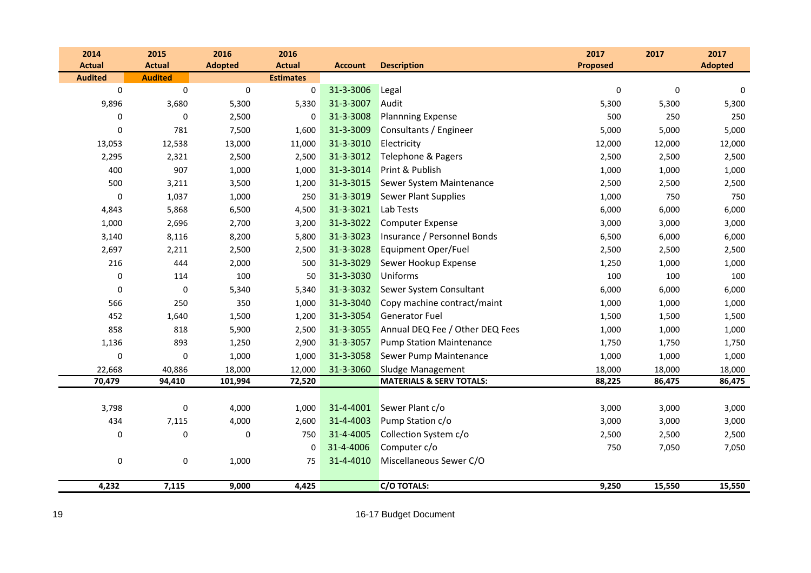| 2014           | 2015           | 2016           | 2016             |                |                                     | 2017            | 2017        | 2017           |
|----------------|----------------|----------------|------------------|----------------|-------------------------------------|-----------------|-------------|----------------|
| <b>Actual</b>  | <b>Actual</b>  | <b>Adopted</b> | <b>Actual</b>    | <b>Account</b> | <b>Description</b>                  | <b>Proposed</b> |             | <b>Adopted</b> |
| <b>Audited</b> | <b>Audited</b> |                | <b>Estimates</b> |                |                                     |                 |             |                |
| $\pmb{0}$      | $\pmb{0}$      | $\mathbf 0$    | $\mathbf 0$      | 31-3-3006      | Legal                               | $\mathbf 0$     | $\mathbf 0$ | 0              |
| 9,896          | 3,680          | 5,300          | 5,330            | 31-3-3007      | Audit                               | 5,300           | 5,300       | 5,300          |
| 0              | 0              | 2,500          | 0                | 31-3-3008      | <b>Plannning Expense</b>            | 500             | 250         | 250            |
| 0              | 781            | 7,500          | 1,600            | 31-3-3009      | Consultants / Engineer              | 5,000           | 5,000       | 5,000          |
| 13,053         | 12,538         | 13,000         | 11,000           | 31-3-3010      | Electricity                         | 12,000          | 12,000      | 12,000         |
| 2,295          | 2,321          | 2,500          | 2,500            | 31-3-3012      | Telephone & Pagers                  | 2,500           | 2,500       | 2,500          |
| 400            | 907            | 1,000          | 1,000            | 31-3-3014      | Print & Publish                     | 1,000           | 1,000       | 1,000          |
| 500            | 3,211          | 3,500          | 1,200            | 31-3-3015      | Sewer System Maintenance            | 2,500           | 2,500       | 2,500          |
| $\pmb{0}$      | 1,037          | 1,000          | 250              | 31-3-3019      | <b>Sewer Plant Supplies</b>         | 1,000           | 750         | 750            |
| 4,843          | 5,868          | 6,500          | 4,500            | 31-3-3021      | Lab Tests                           | 6,000           | 6,000       | 6,000          |
| 1,000          | 2,696          | 2,700          | 3,200            | 31-3-3022      | <b>Computer Expense</b>             | 3,000           | 3,000       | 3,000          |
| 3,140          | 8,116          | 8,200          | 5,800            | 31-3-3023      | Insurance / Personnel Bonds         | 6,500           | 6,000       | 6,000          |
| 2,697          | 2,211          | 2,500          | 2,500            | 31-3-3028      | Equipment Oper/Fuel                 | 2,500           | 2,500       | 2,500          |
| 216            | 444            | 2,000          | 500              | 31-3-3029      | Sewer Hookup Expense                | 1,250           | 1,000       | 1,000          |
| 0              | 114            | 100            | 50               | 31-3-3030      | <b>Uniforms</b>                     | 100             | 100         | 100            |
| 0              | 0              | 5,340          | 5,340            | 31-3-3032      | Sewer System Consultant             | 6,000           | 6,000       | 6,000          |
| 566            | 250            | 350            | 1,000            | 31-3-3040      | Copy machine contract/maint         | 1,000           | 1,000       | 1,000          |
| 452            | 1,640          | 1,500          | 1,200            | 31-3-3054      | <b>Generator Fuel</b>               | 1,500           | 1,500       | 1,500          |
| 858            | 818            | 5,900          | 2,500            | 31-3-3055      | Annual DEQ Fee / Other DEQ Fees     | 1,000           | 1,000       | 1,000          |
| 1,136          | 893            | 1,250          | 2,900            | 31-3-3057      | <b>Pump Station Maintenance</b>     | 1,750           | 1,750       | 1,750          |
| 0              | 0              | 1,000          | 1,000            | 31-3-3058      | Sewer Pump Maintenance              | 1,000           | 1,000       | 1,000          |
| 22,668         | 40,886         | 18,000         | 12,000           | 31-3-3060      | Sludge Management                   | 18,000          | 18,000      | 18,000         |
| 70,479         | 94,410         | 101,994        | 72,520           |                | <b>MATERIALS &amp; SERV TOTALS:</b> | 88,225          | 86,475      | 86,475         |
|                |                |                |                  |                |                                     |                 |             |                |
| 3,798          | $\pmb{0}$      | 4,000          | 1,000            | 31-4-4001      | Sewer Plant c/o                     | 3,000           | 3,000       | 3,000          |
| 434            | 7,115          | 4,000          | 2,600            | 31-4-4003      | Pump Station c/o                    | 3,000           | 3,000       | 3,000          |
| 0              | 0              | 0              | 750              | 31-4-4005      | Collection System c/o               | 2,500           | 2,500       | 2,500          |
|                |                |                | $\mathbf 0$      | 31-4-4006      | Computer c/o                        | 750             | 7,050       | 7,050          |
| 0              | 0              | 1,000          | 75               | 31-4-4010      | Miscellaneous Sewer C/O             |                 |             |                |
|                |                |                |                  |                |                                     |                 |             |                |
| 4,232          | 7,115          | 9,000          | 4,425            |                | <b>C/O TOTALS:</b>                  | 9,250           | 15,550      | 15,550         |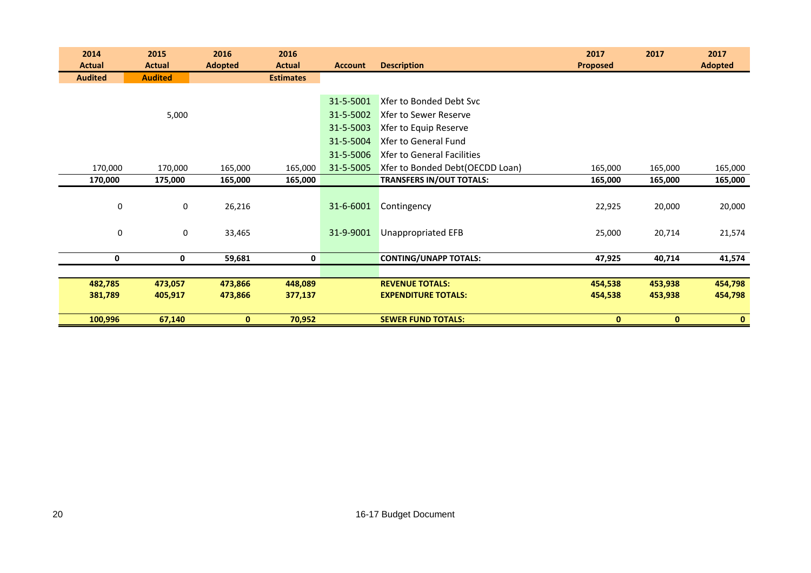| 2014           | 2015             | 2016           | 2016             |                |                                   | 2017         | 2017         | 2017           |
|----------------|------------------|----------------|------------------|----------------|-----------------------------------|--------------|--------------|----------------|
| <b>Actual</b>  | <b>Actual</b>    | <b>Adopted</b> | <b>Actual</b>    | <b>Account</b> | <b>Description</b>                | Proposed     |              | <b>Adopted</b> |
| <b>Audited</b> | <b>Audited</b>   |                | <b>Estimates</b> |                |                                   |              |              |                |
|                |                  |                |                  |                |                                   |              |              |                |
|                |                  |                |                  | 31-5-5001      | Xfer to Bonded Debt Svc           |              |              |                |
|                | 5,000            |                |                  | 31-5-5002      | <b>Xfer to Sewer Reserve</b>      |              |              |                |
|                |                  |                |                  | 31-5-5003      | Xfer to Equip Reserve             |              |              |                |
|                |                  |                |                  | 31-5-5004      | Xfer to General Fund              |              |              |                |
|                |                  |                |                  | 31-5-5006      | <b>Xfer to General Facilities</b> |              |              |                |
| 170,000        | 170,000          | 165,000        | 165,000          | 31-5-5005      | Xfer to Bonded Debt(OECDD Loan)   | 165,000      | 165,000      | 165,000        |
| 170,000        | 175,000          | 165,000        | 165,000          |                | <b>TRANSFERS IN/OUT TOTALS:</b>   | 165,000      | 165,000      | 165,000        |
|                |                  |                |                  |                |                                   |              |              |                |
|                | 0<br>0           | 26,216         |                  | 31-6-6001      | Contingency                       | 22,925       | 20,000       | 20,000         |
|                |                  |                |                  |                |                                   |              |              |                |
|                | $\mathbf 0$<br>0 | 33,465         |                  | 31-9-9001      | <b>Unappropriated EFB</b>         | 25,000       | 20,714       | 21,574         |
|                |                  |                |                  |                |                                   |              |              |                |
| 0              | 0                | 59,681         | 0                |                | <b>CONTING/UNAPP TOTALS:</b>      | 47,925       | 40,714       | 41,574         |
|                |                  |                |                  |                |                                   |              |              |                |
| 482,785        | 473,057          | 473,866        | 448,089          |                | <b>REVENUE TOTALS:</b>            | 454,538      | 453,938      | 454,798        |
| 381,789        | 405,917          | 473,866        | 377,137          |                | <b>EXPENDITURE TOTALS:</b>        | 454,538      | 453,938      | 454,798        |
|                |                  |                |                  |                |                                   |              |              |                |
| 100,996        | 67,140           | $\mathbf{0}$   | 70,952           |                | <b>SEWER FUND TOTALS:</b>         | $\mathbf{0}$ | $\mathbf{0}$ | $\mathbf{0}$   |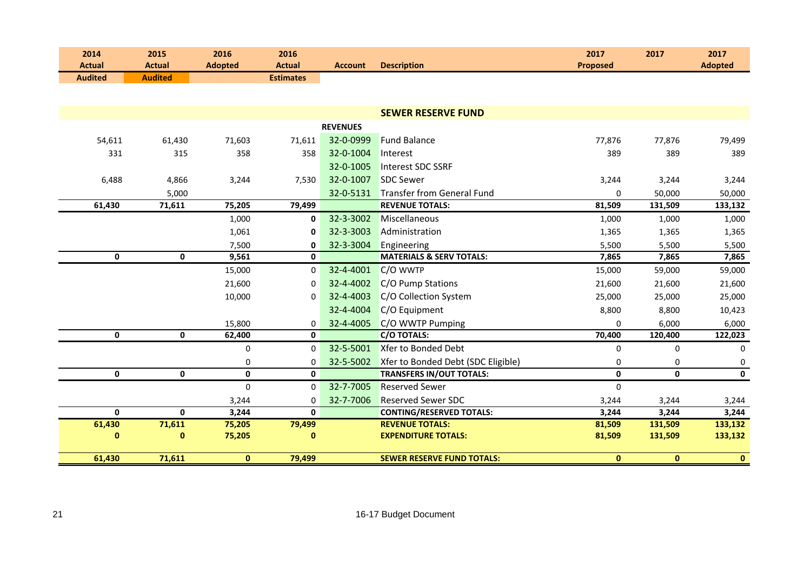| 2014<br><b>Actual</b> | 2015<br><b>Actual</b> | 2016<br><b>Adopted</b> | 2016<br><b>Actual</b> | <b>Account</b>  | <b>Description</b>                                   | 2017<br><b>Proposed</b> | 2017               | 2017<br><b>Adopted</b> |
|-----------------------|-----------------------|------------------------|-----------------------|-----------------|------------------------------------------------------|-------------------------|--------------------|------------------------|
| <b>Audited</b>        | <b>Audited</b>        |                        | <b>Estimates</b>      |                 |                                                      |                         |                    |                        |
|                       |                       |                        |                       |                 |                                                      |                         |                    |                        |
|                       |                       |                        |                       |                 | <b>SEWER RESERVE FUND</b>                            |                         |                    |                        |
|                       |                       |                        |                       | <b>REVENUES</b> |                                                      |                         |                    |                        |
|                       |                       |                        |                       | 32-0-0999       | <b>Fund Balance</b>                                  |                         |                    |                        |
| 54,611                | 61,430                | 71,603                 | 71,611                |                 |                                                      | 77,876                  | 77,876             | 79,499                 |
| 331                   | 315                   | 358                    | 358                   | 32-0-1004       | Interest                                             | 389                     | 389                | 389                    |
|                       |                       |                        |                       | 32-0-1005       | Interest SDC SSRF                                    |                         |                    |                        |
| 6,488                 | 4,866                 | 3,244                  | 7,530                 | 32-0-1007       | <b>SDC Sewer</b>                                     | 3,244                   | 3,244              | 3,244                  |
|                       | 5,000                 |                        |                       | 32-0-5131       | Transfer from General Fund                           | $\mathbf 0$             | 50,000             | 50,000                 |
| 61,430                | 71,611                | 75,205                 | 79,499                |                 | <b>REVENUE TOTALS:</b>                               | 81,509                  | 131,509            | 133,132                |
|                       |                       | 1,000                  | $\mathbf{0}$          | 32-3-3002       | Miscellaneous                                        | 1,000                   | 1,000              | 1,000                  |
|                       |                       | 1,061                  | 0                     | 32-3-3003       | Administration                                       | 1,365                   | 1,365              | 1,365                  |
|                       |                       | 7,500                  | 0                     | 32-3-3004       | Engineering<br><b>MATERIALS &amp; SERV TOTALS:</b>   | 5,500                   | 5,500              | 5,500                  |
| $\mathbf 0$           | $\mathbf 0$           | 9,561                  | $\mathbf{0}$          |                 |                                                      | 7,865                   | 7,865              | 7,865                  |
|                       |                       | 15,000                 | 0                     | 32-4-4001       | C/O WWTP                                             | 15,000                  | 59,000             | 59,000                 |
|                       |                       | 21,600                 | 0                     | 32-4-4002       | C/O Pump Stations                                    | 21,600                  | 21,600             | 21,600                 |
|                       |                       | 10,000                 | 0                     | 32-4-4003       | C/O Collection System                                | 25,000                  | 25,000             | 25,000                 |
|                       |                       |                        |                       | 32-4-4004       | C/O Equipment                                        | 8,800                   | 8,800              | 10,423                 |
|                       |                       | 15,800                 | 0                     | 32-4-4005       | C/O WWTP Pumping                                     | $\Omega$                | 6,000              | 6,000                  |
| 0                     | $\mathbf 0$           | 62,400                 | $\mathbf 0$           |                 | <b>C/O TOTALS:</b>                                   | 70,400                  | 120,400            | 122,023                |
|                       |                       | 0                      | 0                     | 32-5-5001       | Xfer to Bonded Debt                                  | $\mathbf 0$             | $\mathbf 0$        | 0                      |
|                       |                       | 0                      | 0                     | 32-5-5002       | Xfer to Bonded Debt (SDC Eligible)                   | 0                       | $\mathbf 0$        | 0                      |
| $\mathbf 0$           | $\mathbf 0$           | $\mathbf 0$            | $\mathbf{0}$          |                 | <b>TRANSFERS IN/OUT TOTALS:</b>                      | $\mathbf 0$             | 0                  | $\mathbf 0$            |
|                       |                       | $\mathbf 0$            | 0                     | 32-7-7005       | <b>Reserved Sewer</b>                                | $\mathbf 0$             |                    |                        |
|                       |                       | 3,244                  | $\Omega$              | 32-7-7006       | <b>Reserved Sewer SDC</b>                            | 3,244                   | 3,244              | 3,244                  |
| $\mathbf{0}$          | $\mathbf{0}$          | 3,244                  | $\mathbf{0}$          |                 | <b>CONTING/RESERVED TOTALS:</b>                      | 3,244                   | 3,244              | 3,244                  |
| 61,430<br>$\pmb{0}$   | 71,611<br>$\pmb{0}$   | 75,205<br>75,205       | 79,499<br>0           |                 | <b>REVENUE TOTALS:</b><br><b>EXPENDITURE TOTALS:</b> | 81,509<br>81,509        | 131,509<br>131,509 | 133,132<br>133,132     |
|                       |                       |                        |                       |                 |                                                      |                         |                    |                        |
| 61,430                | 71,611                | $\mathbf 0$            | 79,499                |                 | <b>SEWER RESERVE FUND TOTALS:</b>                    | $\bf{0}$                | $\mathbf{0}$       | $\bullet$              |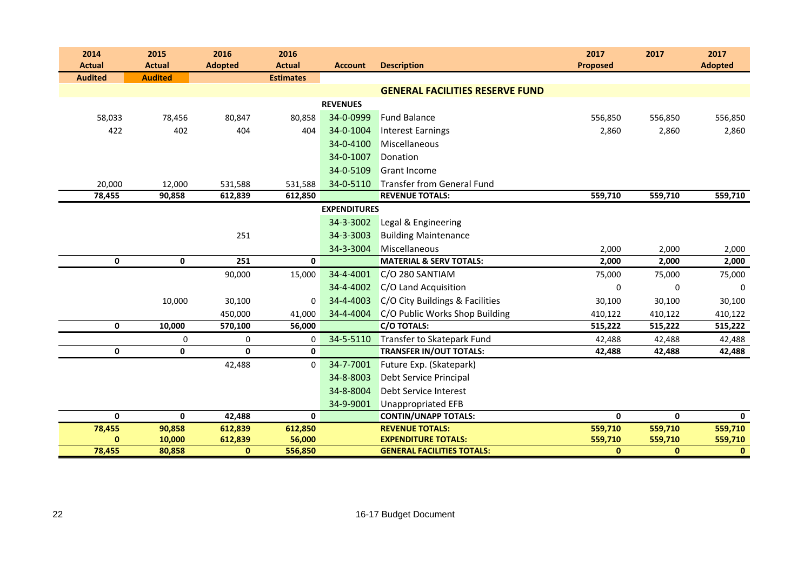| 2014           | 2015             | 2016                | 2016              |                     |                                                                 | 2017                   | 2017                    | 2017                    |
|----------------|------------------|---------------------|-------------------|---------------------|-----------------------------------------------------------------|------------------------|-------------------------|-------------------------|
| <b>Actual</b>  | <b>Actual</b>    | <b>Adopted</b>      | <b>Actual</b>     | <b>Account</b>      | <b>Description</b>                                              | <b>Proposed</b>        |                         | <b>Adopted</b>          |
| <b>Audited</b> | <b>Audited</b>   |                     | <b>Estimates</b>  |                     |                                                                 |                        |                         |                         |
|                |                  |                     |                   |                     | <b>GENERAL FACILITIES RESERVE FUND</b>                          |                        |                         |                         |
|                |                  |                     |                   | <b>REVENUES</b>     |                                                                 |                        |                         |                         |
| 58,033         | 78,456           | 80,847              | 80,858            | 34-0-0999           | <b>Fund Balance</b>                                             | 556,850                | 556,850                 | 556,850                 |
| 422            | 402              | 404                 | 404               | 34-0-1004           | <b>Interest Earnings</b>                                        | 2,860                  | 2,860                   | 2,860                   |
|                |                  |                     |                   | 34-0-4100           | Miscellaneous                                                   |                        |                         |                         |
|                |                  |                     |                   | 34-0-1007           | Donation                                                        |                        |                         |                         |
|                |                  |                     |                   | 34-0-5109           | <b>Grant Income</b>                                             |                        |                         |                         |
| 20,000         | 12,000           | 531,588             | 531,588           | 34-0-5110           | <b>Transfer from General Fund</b>                               |                        |                         |                         |
| 78,455         | 90,858           | 612,839             | 612,850           |                     | <b>REVENUE TOTALS:</b>                                          | 559,710                | 559,710                 | 559,710                 |
|                |                  |                     |                   | <b>EXPENDITURES</b> |                                                                 |                        |                         |                         |
|                |                  |                     |                   | 34-3-3002           | Legal & Engineering                                             |                        |                         |                         |
|                |                  | 251                 |                   | 34-3-3003           | <b>Building Maintenance</b>                                     |                        |                         |                         |
|                |                  |                     |                   | 34-3-3004           | Miscellaneous                                                   | 2,000                  | 2,000                   | 2,000                   |
| $\mathbf 0$    | $\mathbf 0$      | $\overline{251}$    | $\mathbf{0}$      |                     | <b>MATERIAL &amp; SERV TOTALS:</b>                              | 2,000                  | 2,000                   | 2,000                   |
|                |                  | 90,000              | 15,000            | 34-4-4001           | C/O 280 SANTIAM                                                 | 75,000                 | 75,000                  | 75,000                  |
|                |                  |                     |                   | 34-4-4002           | C/O Land Acquisition                                            | 0                      | $\mathbf 0$             | 0                       |
|                | 10,000           | 30,100              | $\mathbf 0$       | 34-4-4003           | C/O City Buildings & Facilities                                 | 30,100                 | 30,100                  | 30,100                  |
|                |                  | 450,000             | 41,000            | 34-4-4004           | C/O Public Works Shop Building                                  | 410,122                | 410,122                 | 410,122                 |
| $\mathbf 0$    | 10,000           | 570,100             | 56,000            |                     | <b>C/O TOTALS:</b>                                              | 515,222                | 515,222                 | 515,222                 |
|                | 0                | 0                   | 0                 | 34-5-5110           | Transfer to Skatepark Fund                                      | 42,488                 | 42,488                  | 42,488                  |
| $\mathbf 0$    | $\mathbf 0$      | $\mathbf{0}$        | $\mathbf{0}$      |                     | <b>TRANSFER IN/OUT TOTALS:</b>                                  | 42,488                 | 42,488                  | 42,488                  |
|                |                  | 42,488              | $\mathbf 0$       | 34-7-7001           | Future Exp. (Skatepark)                                         |                        |                         |                         |
|                |                  |                     |                   | 34-8-8003           | Debt Service Principal                                          |                        |                         |                         |
|                |                  |                     |                   | 34-8-8004           | Debt Service Interest                                           |                        |                         |                         |
|                |                  |                     |                   | 34-9-9001           | <b>Unappropriated EFB</b>                                       |                        |                         |                         |
| $\mathbf 0$    | $\mathbf 0$      | 42,488              | $\mathbf 0$       |                     | <b>CONTIN/UNAPP TOTALS:</b>                                     | $\mathbf 0$            | 0                       | $\mathbf{0}$            |
| 78,455         | 90,858           | 612,839             | 612,850           |                     | <b>REVENUE TOTALS:</b>                                          | 559,710                | 559,710                 | 559,710                 |
| 0<br>78,455    | 10,000<br>80,858 | 612,839<br>$\bf{0}$ | 56,000<br>556,850 |                     | <b>EXPENDITURE TOTALS:</b><br><b>GENERAL FACILITIES TOTALS:</b> | 559,710<br>$\mathbf 0$ | 559,710<br>$\mathbf{0}$ | 559,710<br>$\mathbf{0}$ |
|                |                  |                     |                   |                     |                                                                 |                        |                         |                         |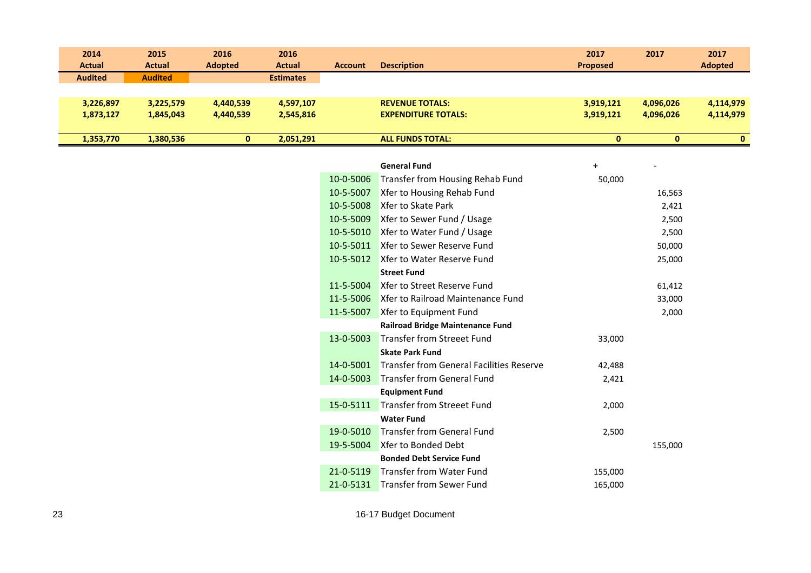| 2014           | 2015           | 2016           | 2016             |                |                            | 2017            | 2017      | 2017           |
|----------------|----------------|----------------|------------------|----------------|----------------------------|-----------------|-----------|----------------|
| <b>Actual</b>  | <b>Actual</b>  | <b>Adopted</b> | <b>Actual</b>    | <b>Account</b> | <b>Description</b>         | <b>Proposed</b> |           | <b>Adopted</b> |
| <b>Audited</b> | <b>Audited</b> |                | <b>Estimates</b> |                |                            |                 |           |                |
|                |                |                |                  |                |                            |                 |           |                |
| 3,226,897      | 3,225,579      | 4,440,539      | 4,597,107        |                | <b>REVENUE TOTALS:</b>     | 3,919,121       | 4,096,026 | 4,114,979      |
| 1,873,127      | 1,845,043      | 4,440,539      | 2,545,816        |                | <b>EXPENDITURE TOTALS:</b> | 3,919,121       | 4,096,026 | 4,114,979      |
|                |                |                |                  |                |                            |                 |           |                |
| 1,353,770      | 1,380,536      |                | 2,051,291        |                | <b>ALL FUNDS TOTAL:</b>    | 0               |           | 0              |

|           | <b>General Fund</b>                             | $\ddot{}$ |         |
|-----------|-------------------------------------------------|-----------|---------|
| 10-0-5006 | Transfer from Housing Rehab Fund                | 50,000    |         |
| 10-5-5007 | Xfer to Housing Rehab Fund                      |           | 16,563  |
| 10-5-5008 | Xfer to Skate Park                              |           | 2,421   |
| 10-5-5009 | Xfer to Sewer Fund / Usage                      |           | 2,500   |
| 10-5-5010 | Xfer to Water Fund / Usage                      |           | 2,500   |
| 10-5-5011 | Xfer to Sewer Reserve Fund                      |           | 50,000  |
| 10-5-5012 | Xfer to Water Reserve Fund                      |           | 25,000  |
|           | <b>Street Fund</b>                              |           |         |
| 11-5-5004 | Xfer to Street Reserve Fund                     |           | 61,412  |
| 11-5-5006 | Xfer to Railroad Maintenance Fund               |           | 33,000  |
| 11-5-5007 | Xfer to Equipment Fund                          |           | 2,000   |
|           | <b>Railroad Bridge Maintenance Fund</b>         |           |         |
| 13-0-5003 | <b>Transfer from Streeet Fund</b>               | 33,000    |         |
|           | <b>Skate Park Fund</b>                          |           |         |
| 14-0-5001 | <b>Transfer from General Facilities Reserve</b> | 42,488    |         |
| 14-0-5003 | Transfer from General Fund                      | 2,421     |         |
|           | <b>Equipment Fund</b>                           |           |         |
| 15-0-5111 | <b>Transfer from Streeet Fund</b>               | 2,000     |         |
|           | <b>Water Fund</b>                               |           |         |
| 19-0-5010 | <b>Transfer from General Fund</b>               | 2,500     |         |
| 19-5-5004 | Xfer to Bonded Debt                             |           | 155,000 |
|           | <b>Bonded Debt Service Fund</b>                 |           |         |
| 21-0-5119 | <b>Transfer from Water Fund</b>                 | 155,000   |         |
| 21-0-5131 | <b>Transfer from Sewer Fund</b>                 | 165,000   |         |
|           |                                                 |           |         |

16-17 Budget Document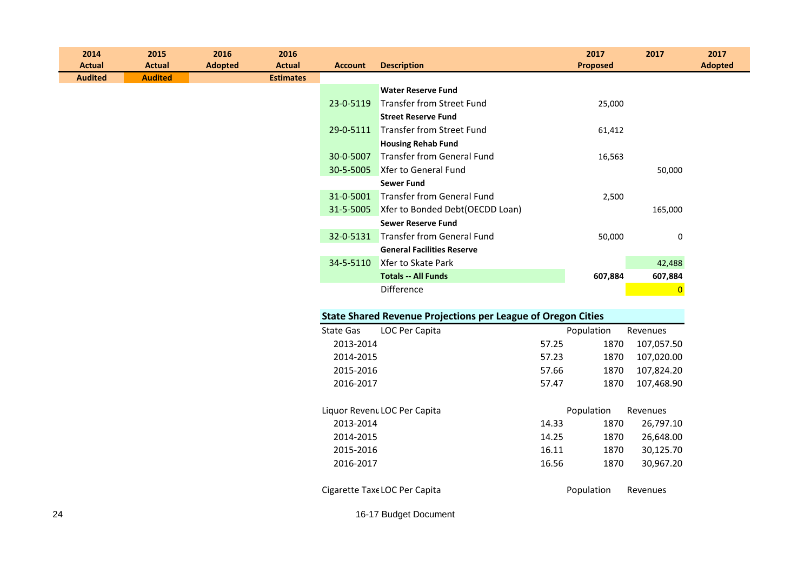| 2014<br><b>Actual</b> |                                                                     | 2015<br><b>Actual</b> | 2016<br><b>Adopted</b> | 2016<br><b>Actual</b> | <b>Account</b>   | <b>Description</b>                   |       | 2017<br>Proposed | 2017           | 2017<br><b>Adopted</b> |
|-----------------------|---------------------------------------------------------------------|-----------------------|------------------------|-----------------------|------------------|--------------------------------------|-------|------------------|----------------|------------------------|
| <b>Audited</b>        |                                                                     | <b>Audited</b>        |                        | <b>Estimates</b>      |                  |                                      |       |                  |                |                        |
|                       |                                                                     |                       |                        |                       |                  | <b>Water Reserve Fund</b>            |       |                  |                |                        |
|                       |                                                                     |                       |                        |                       | 23-0-5119        | <b>Transfer from Street Fund</b>     |       | 25,000           |                |                        |
|                       |                                                                     |                       |                        |                       |                  | <b>Street Reserve Fund</b>           |       |                  |                |                        |
|                       |                                                                     |                       |                        |                       | 29-0-5111        | <b>Transfer from Street Fund</b>     |       | 61,412           |                |                        |
|                       |                                                                     |                       |                        |                       |                  | <b>Housing Rehab Fund</b>            |       |                  |                |                        |
|                       |                                                                     |                       |                        |                       | 30-0-5007        | Transfer from General Fund           |       | 16,563           |                |                        |
|                       |                                                                     |                       |                        |                       | 30-5-5005        | Xfer to General Fund                 |       |                  | 50,000         |                        |
|                       |                                                                     |                       |                        |                       |                  | <b>Sewer Fund</b>                    |       |                  |                |                        |
|                       |                                                                     |                       |                        |                       |                  | 31-0-5001 Transfer from General Fund |       | 2,500            |                |                        |
|                       |                                                                     |                       |                        |                       | 31-5-5005        | Xfer to Bonded Debt(OECDD Loan)      |       |                  | 165,000        |                        |
|                       |                                                                     |                       |                        |                       |                  | <b>Sewer Reserve Fund</b>            |       |                  |                |                        |
|                       |                                                                     |                       |                        |                       |                  | 32-0-5131 Transfer from General Fund |       | 50,000           | 0              |                        |
|                       |                                                                     |                       |                        |                       |                  | <b>General Facilities Reserve</b>    |       |                  |                |                        |
|                       |                                                                     |                       |                        |                       | 34-5-5110        | Xfer to Skate Park                   |       |                  | 42,488         |                        |
|                       |                                                                     |                       |                        |                       |                  | <b>Totals -- All Funds</b>           |       | 607,884          | 607,884        |                        |
|                       |                                                                     |                       |                        |                       |                  | Difference                           |       |                  | $\overline{0}$ |                        |
|                       |                                                                     |                       |                        |                       |                  |                                      |       |                  |                |                        |
|                       | <b>State Shared Revenue Projections per League of Oregon Cities</b> |                       |                        |                       |                  |                                      |       |                  |                |                        |
|                       |                                                                     |                       |                        |                       | <b>State Gas</b> | LOC Per Capita                       |       | Population       | Revenues       |                        |
|                       |                                                                     |                       |                        |                       | 2013-2014        |                                      | 57.25 | 1870             | 107,057.50     |                        |
|                       |                                                                     |                       |                        |                       | 2014-2015        |                                      | 57.23 | 1870             | 107,020.00     |                        |
|                       |                                                                     |                       |                        |                       | 2015-2016        |                                      | 57.66 | 1870             | 107,824.20     |                        |
|                       |                                                                     |                       |                        |                       | 2016-2017        |                                      | 57.47 | 1870             | 107,468.90     |                        |
|                       |                                                                     |                       |                        |                       |                  |                                      |       |                  |                |                        |
|                       |                                                                     |                       |                        |                       |                  | Liquor Revent LOC Per Capita         |       | Population       | Revenues       |                        |
|                       |                                                                     |                       |                        |                       | 2013-2014        |                                      | 14.33 | 1870             | 26,797.10      |                        |
|                       |                                                                     |                       |                        |                       | 2014-2015        |                                      | 14.25 | 1870             | 26,648.00      |                        |
|                       |                                                                     |                       |                        |                       | 2015-2016        |                                      | 16.11 | 1870             | 30,125.70      |                        |
|                       |                                                                     |                       |                        |                       | 2016-2017        |                                      | 16.56 | 1870             | 30,967.20      |                        |

Cigarette Taxe LOC Per Capita **Population** Revenues

16-17 Budget Document